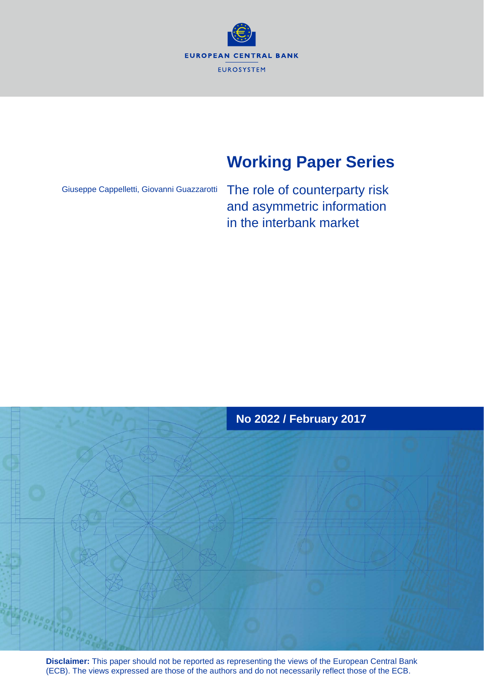

# **Working Paper Series**

Giuseppe Cappelletti, Giovanni Guazzarotti

The role of counterparty risk and asymmetric information in the interbank market



**Disclaimer:** This paper should not be reported as representing the views of the European Central Bank (ECB). The views expressed are those of the authors and do not necessarily reflect those of the ECB.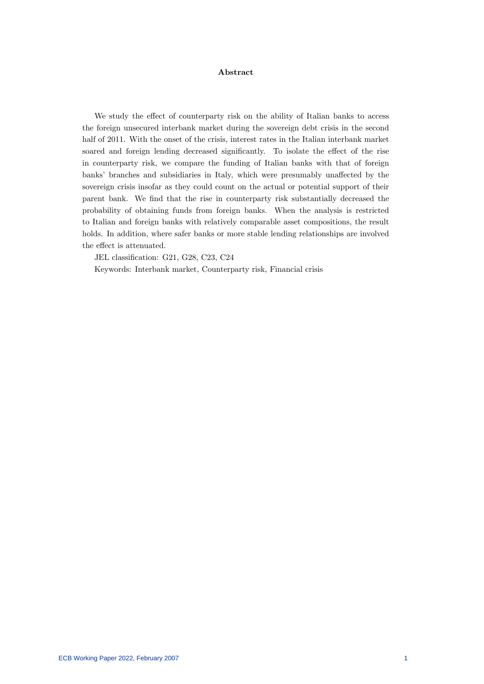#### Abstract

We study the effect of counterparty risk on the ability of Italian banks to access the foreign unsecured interbank market during the sovereign debt crisis in the second half of 2011. With the onset of the crisis, interest rates in the Italian interbank market soared and foreign lending decreased significantly. To isolate the effect of the rise in counterparty risk, we compare the funding of Italian banks with that of foreign banks' branches and subsidiaries in Italy, which were presumably unaffected by the sovereign crisis insofar as they could count on the actual or potential support of their parent bank. We find that the rise in counterparty risk substantially decreased the probability of obtaining funds from foreign banks. When the analysis is restricted to Italian and foreign banks with relatively comparable asset compositions, the result holds. In addition, where safer banks or more stable lending relationships are involved the effect is attenuated.

JEL classification: G21, G28, C23, C24

Keywords: Interbank market, Counterparty risk, Financial crisis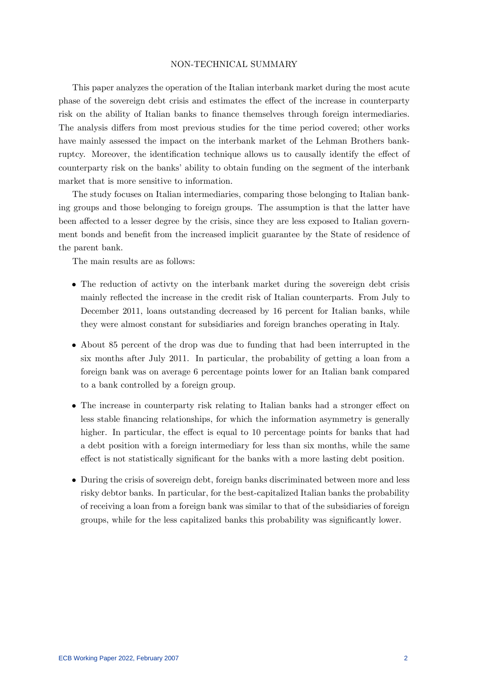### NON-TECHNICAL SUMMARY

This paper analyzes the operation of the Italian interbank market during the most acute phase of the sovereign debt crisis and estimates the effect of the increase in counterparty risk on the ability of Italian banks to finance themselves through foreign intermediaries. The analysis differs from most previous studies for the time period covered; other works have mainly assessed the impact on the interbank market of the Lehman Brothers bankruptcy. Moreover, the identification technique allows us to causally identify the effect of counterparty risk on the banks' ability to obtain funding on the segment of the interbank market that is more sensitive to information.

The study focuses on Italian intermediaries, comparing those belonging to Italian banking groups and those belonging to foreign groups. The assumption is that the latter have been affected to a lesser degree by the crisis, since they are less exposed to Italian government bonds and benefit from the increased implicit guarantee by the State of residence of the parent bank.

The main results are as follows:

- The reduction of activity on the interbank market during the sovereign debt crisis mainly reflected the increase in the credit risk of Italian counterparts. From July to December 2011, loans outstanding decreased by 16 percent for Italian banks, while they were almost constant for subsidiaries and foreign branches operating in Italy.
- About 85 percent of the drop was due to funding that had been interrupted in the six months after July 2011. In particular, the probability of getting a loan from a foreign bank was on average 6 percentage points lower for an Italian bank compared to a bank controlled by a foreign group.
- The increase in counterparty risk relating to Italian banks had a stronger effect on less stable Önancing relationships, for which the information asymmetry is generally higher. In particular, the effect is equal to 10 percentage points for banks that had a debt position with a foreign intermediary for less than six months, while the same effect is not statistically significant for the banks with a more lasting debt position.
- During the crisis of sovereign debt, foreign banks discriminated between more and less risky debtor banks. In particular, for the best-capitalized Italian banks the probability of receiving a loan from a foreign bank was similar to that of the subsidiaries of foreign groups, while for the less capitalized banks this probability was significantly lower.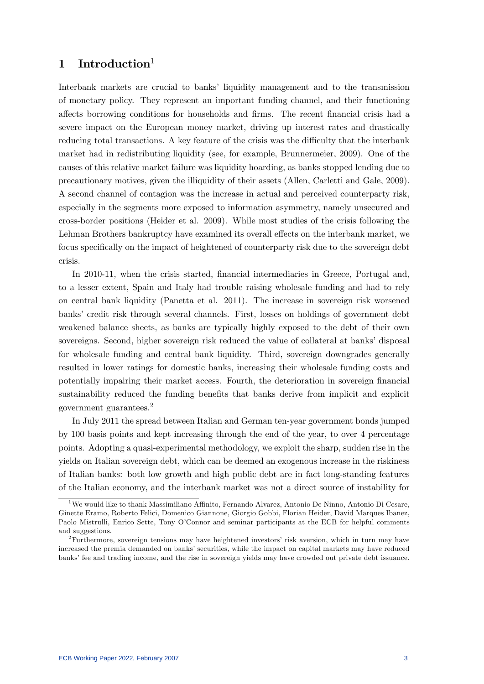# 1 Introduction

Interbank markets are crucial to banks' liquidity management and to the transmission of monetary policy. They represent an important funding channel, and their functioning affects borrowing conditions for households and firms. The recent financial crisis had a severe impact on the European money market, driving up interest rates and drastically reducing total transactions. A key feature of the crisis was the difficulty that the interbank market had in redistributing liquidity (see, for example, Brunnermeier, 2009). One of the causes of this relative market failure was liquidity hoarding, as banks stopped lending due to precautionary motives, given the illiquidity of their assets (Allen, Carletti and Gale, 2009). A second channel of contagion was the increase in actual and perceived counterparty risk, especially in the segments more exposed to information asymmetry, namely unsecured and cross-border positions (Heider et al. 2009). While most studies of the crisis following the Lehman Brothers bankruptcy have examined its overall effects on the interbank market, we focus specifically on the impact of heightened of counterparty risk due to the sovereign debt crisis.

In 2010-11, when the crisis started, financial intermediaries in Greece, Portugal and, to a lesser extent, Spain and Italy had trouble raising wholesale funding and had to rely on central bank liquidity (Panetta et al. 2011). The increase in sovereign risk worsened banks' credit risk through several channels. First, losses on holdings of government debt weakened balance sheets, as banks are typically highly exposed to the debt of their own sovereigns. Second, higher sovereign risk reduced the value of collateral at banks' disposal for wholesale funding and central bank liquidity. Third, sovereign downgrades generally resulted in lower ratings for domestic banks, increasing their wholesale funding costs and potentially impairing their market access. Fourth, the deterioration in sovereign financial sustainability reduced the funding benefits that banks derive from implicit and explicit government guarantees.<sup>2</sup>

In July 2011 the spread between Italian and German ten-year government bonds jumped by 100 basis points and kept increasing through the end of the year, to over 4 percentage points. Adopting a quasi-experimental methodology, we exploit the sharp, sudden rise in the yields on Italian sovereign debt, which can be deemed an exogenous increase in the riskiness of Italian banks: both low growth and high public debt are in fact long-standing features of the Italian economy, and the interbank market was not a direct source of instability for

<sup>&</sup>lt;sup>1</sup>We would like to thank Massimiliano Affinito, Fernando Alvarez, Antonio De Ninno, Antonio Di Cesare, Ginette Eramo, Roberto Felici, Domenico Giannone, Giorgio Gobbi, Florian Heider, David Marques Ibanez, Paolo Mistrulli, Enrico Sette, Tony O'Connor and seminar participants at the ECB for helpful comments and suggestions.

<sup>&</sup>lt;sup>2</sup>Furthermore, sovereign tensions may have heightened investors' risk aversion, which in turn may have increased the premia demanded on banks' securities, while the impact on capital markets may have reduced banks' fee and trading income, and the rise in sovereign yields may have crowded out private debt issuance.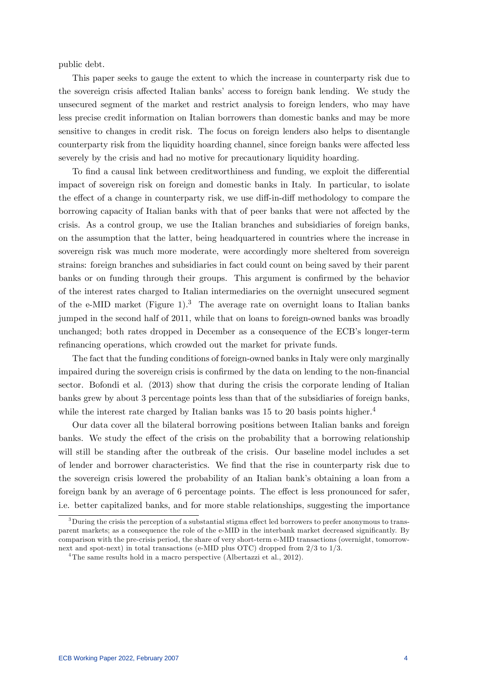public debt.

This paper seeks to gauge the extent to which the increase in counterparty risk due to the sovereign crisis affected Italian banks' access to foreign bank lending. We study the unsecured segment of the market and restrict analysis to foreign lenders, who may have less precise credit information on Italian borrowers than domestic banks and may be more sensitive to changes in credit risk. The focus on foreign lenders also helps to disentangle counterparty risk from the liquidity hoarding channel, since foreign banks were affected less severely by the crisis and had no motive for precautionary liquidity hoarding.

To find a causal link between creditworthiness and funding, we exploit the differential impact of sovereign risk on foreign and domestic banks in Italy. In particular, to isolate the effect of a change in counterparty risk, we use diff-in-diff methodology to compare the borrowing capacity of Italian banks with that of peer banks that were not affected by the crisis. As a control group, we use the Italian branches and subsidiaries of foreign banks, on the assumption that the latter, being headquartered in countries where the increase in sovereign risk was much more moderate, were accordingly more sheltered from sovereign strains: foreign branches and subsidiaries in fact could count on being saved by their parent banks or on funding through their groups. This argument is confirmed by the behavior of the interest rates charged to Italian intermediaries on the overnight unsecured segment of the e-MID market (Figure 1).<sup>3</sup> The average rate on overnight loans to Italian banks jumped in the second half of 2011, while that on loans to foreign-owned banks was broadly unchanged; both rates dropped in December as a consequence of the ECB's longer-term refinancing operations, which crowded out the market for private funds.

The fact that the funding conditions of foreign-owned banks in Italy were only marginally impaired during the sovereign crisis is confirmed by the data on lending to the non-financial sector. Bofondi et al. (2013) show that during the crisis the corporate lending of Italian banks grew by about 3 percentage points less than that of the subsidiaries of foreign banks, while the interest rate charged by Italian banks was 15 to 20 basis points higher.<sup>4</sup>

Our data cover all the bilateral borrowing positions between Italian banks and foreign banks. We study the effect of the crisis on the probability that a borrowing relationship will still be standing after the outbreak of the crisis. Our baseline model includes a set of lender and borrower characteristics. We Önd that the rise in counterparty risk due to the sovereign crisis lowered the probability of an Italian bank's obtaining a loan from a foreign bank by an average of 6 percentage points. The effect is less pronounced for safer, i.e. better capitalized banks, and for more stable relationships, suggesting the importance

 $3$ During the crisis the perception of a substantial stigma effect led borrowers to prefer anonymous to transparent markets; as a consequence the role of the e-MID in the interbank market decreased significantly. By comparison with the pre-crisis period, the share of very short-term e-MID transactions (overnight, tomorrownext and spot-next) in total transactions (e-MID plus OTC) dropped from 2/3 to 1/3.

<sup>&</sup>lt;sup>4</sup>The same results hold in a macro perspective (Albertazzi et al., 2012).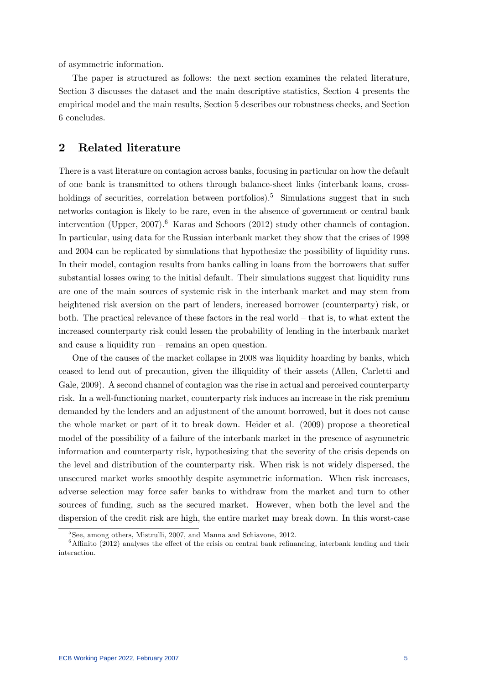of asymmetric information.

The paper is structured as follows: the next section examines the related literature, Section 3 discusses the dataset and the main descriptive statistics, Section 4 presents the empirical model and the main results, Section 5 describes our robustness checks, and Section 6 concludes.

# 2 Related literature

There is a vast literature on contagion across banks, focusing in particular on how the default of one bank is transmitted to others through balance-sheet links (interbank loans, crossholdings of securities, correlation between portfolios).<sup>5</sup> Simulations suggest that in such networks contagion is likely to be rare, even in the absence of government or central bank intervention (Upper, 2007).<sup>6</sup> Karas and Schoors (2012) study other channels of contagion. In particular, using data for the Russian interbank market they show that the crises of 1998 and 2004 can be replicated by simulations that hypothesize the possibility of liquidity runs. In their model, contagion results from banks calling in loans from the borrowers that suffer substantial losses owing to the initial default. Their simulations suggest that liquidity runs are one of the main sources of systemic risk in the interbank market and may stem from heightened risk aversion on the part of lenders, increased borrower (counterparty) risk, or both. The practical relevance of these factors in the real world  $-$  that is, to what extent the increased counterparty risk could lessen the probability of lending in the interbank market and cause a liquidity run  $-$  remains an open question.

One of the causes of the market collapse in 2008 was liquidity hoarding by banks, which ceased to lend out of precaution, given the illiquidity of their assets (Allen, Carletti and Gale, 2009). A second channel of contagion was the rise in actual and perceived counterparty risk. In a well-functioning market, counterparty risk induces an increase in the risk premium demanded by the lenders and an adjustment of the amount borrowed, but it does not cause the whole market or part of it to break down. Heider et al. (2009) propose a theoretical model of the possibility of a failure of the interbank market in the presence of asymmetric information and counterparty risk, hypothesizing that the severity of the crisis depends on the level and distribution of the counterparty risk. When risk is not widely dispersed, the unsecured market works smoothly despite asymmetric information. When risk increases, adverse selection may force safer banks to withdraw from the market and turn to other sources of funding, such as the secured market. However, when both the level and the dispersion of the credit risk are high, the entire market may break down. In this worst-case

<sup>5</sup> See, among others, Mistrulli, 2007, and Manna and Schiavone, 2012.

 $6$ Affinito (2012) analyses the effect of the crisis on central bank refinancing, interbank lending and their interaction.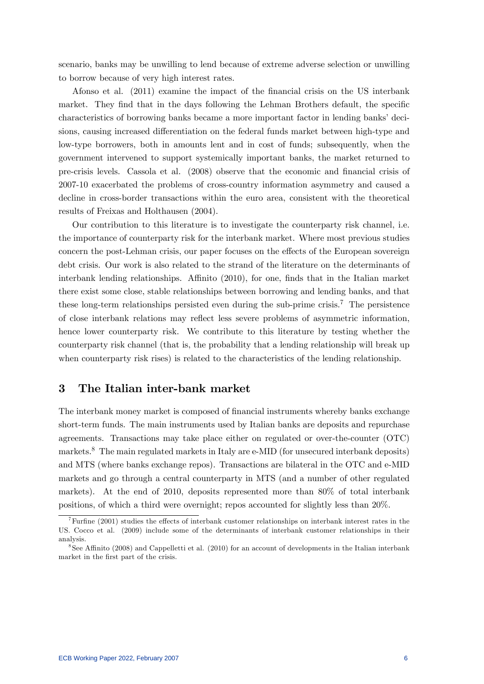scenario, banks may be unwilling to lend because of extreme adverse selection or unwilling to borrow because of very high interest rates.

Afonso et al. (2011) examine the impact of the financial crisis on the US interbank market. They find that in the days following the Lehman Brothers default, the specific characteristics of borrowing banks became a more important factor in lending banks' decisions, causing increased differentiation on the federal funds market between high-type and low-type borrowers, both in amounts lent and in cost of funds; subsequently, when the government intervened to support systemically important banks, the market returned to pre-crisis levels. Cassola et al. (2008) observe that the economic and Önancial crisis of 2007-10 exacerbated the problems of cross-country information asymmetry and caused a decline in cross-border transactions within the euro area, consistent with the theoretical results of Freixas and Holthausen (2004).

Our contribution to this literature is to investigate the counterparty risk channel, i.e. the importance of counterparty risk for the interbank market. Where most previous studies concern the post-Lehman crisis, our paper focuses on the effects of the European sovereign debt crisis. Our work is also related to the strand of the literature on the determinants of interbank lending relationships. Affinito  $(2010)$ , for one, finds that in the Italian market there exist some close, stable relationships between borrowing and lending banks, and that these long-term relationships persisted even during the sub-prime crisis.<sup>7</sup> The persistence of close interbank relations may reáect less severe problems of asymmetric information, hence lower counterparty risk. We contribute to this literature by testing whether the counterparty risk channel (that is, the probability that a lending relationship will break up when counterparty risk rises) is related to the characteristics of the lending relationship.

# 3 The Italian inter-bank market

The interbank money market is composed of financial instruments whereby banks exchange short-term funds. The main instruments used by Italian banks are deposits and repurchase agreements. Transactions may take place either on regulated or over-the-counter (OTC) markets.<sup>8</sup> The main regulated markets in Italy are e-MID (for unsecured interbank deposits) and MTS (where banks exchange repos). Transactions are bilateral in the OTC and e-MID markets and go through a central counterparty in MTS (and a number of other regulated markets). At the end of 2010, deposits represented more than 80% of total interbank positions, of which a third were overnight; repos accounted for slightly less than 20%.

<sup>&</sup>lt;sup>7</sup>Furt ine (2001) studies the effects of interbank customer relationships on interbank interest rates in the US. Cocco et al. (2009) include some of the determinants of interbank customer relationships in their analysis.

 $8$ See Affinito (2008) and Cappelletti et al. (2010) for an account of developments in the Italian interbank market in the first part of the crisis.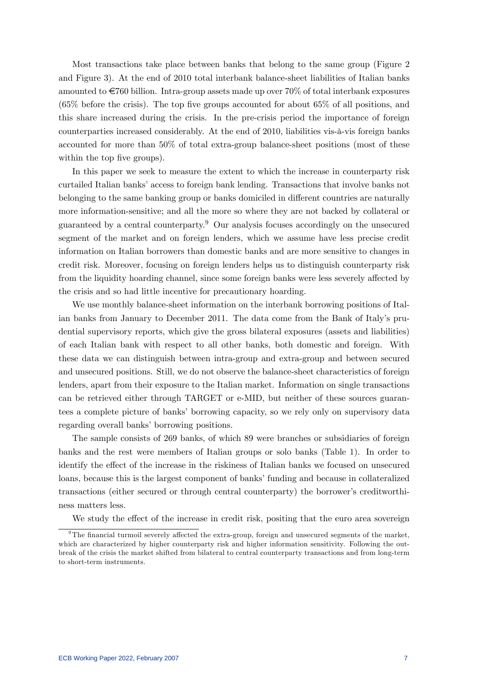Most transactions take place between banks that belong to the same group (Figure 2 and Figure 3). At the end of 2010 total interbank balance-sheet liabilities of Italian banks amounted to  $\epsilon$ 760 billion. Intra-group assets made up over 70% of total interbank exposures  $(65\%$  before the crisis). The top five groups accounted for about 65% of all positions, and this share increased during the crisis. In the pre-crisis period the importance of foreign counterparties increased considerably. At the end of 2010, liabilities vis- $\hat{a}$ -vis foreign banks accounted for more than 50% of total extra-group balance-sheet positions (most of these within the top five groups).

In this paper we seek to measure the extent to which the increase in counterparty risk curtailed Italian banks' access to foreign bank lending. Transactions that involve banks not belonging to the same banking group or banks domiciled in different countries are naturally more information-sensitive; and all the more so where they are not backed by collateral or guaranteed by a central counterparty.<sup>9</sup> Our analysis focuses accordingly on the unsecured segment of the market and on foreign lenders, which we assume have less precise credit information on Italian borrowers than domestic banks and are more sensitive to changes in credit risk. Moreover, focusing on foreign lenders helps us to distinguish counterparty risk from the liquidity hoarding channel, since some foreign banks were less severely affected by the crisis and so had little incentive for precautionary hoarding.

We use monthly balance-sheet information on the interbank borrowing positions of Italian banks from January to December 2011. The data come from the Bank of Italy's prudential supervisory reports, which give the gross bilateral exposures (assets and liabilities) of each Italian bank with respect to all other banks, both domestic and foreign. With these data we can distinguish between intra-group and extra-group and between secured and unsecured positions. Still, we do not observe the balance-sheet characteristics of foreign lenders, apart from their exposure to the Italian market. Information on single transactions can be retrieved either through TARGET or e-MID, but neither of these sources guarantees a complete picture of banks' borrowing capacity, so we rely only on supervisory data regarding overall banks' borrowing positions.

The sample consists of 269 banks, of which 89 were branches or subsidiaries of foreign banks and the rest were members of Italian groups or solo banks (Table 1). In order to identify the effect of the increase in the riskiness of Italian banks we focused on unsecured loans, because this is the largest component of banks' funding and because in collateralized transactions (either secured or through central counterparty) the borrower's creditworthiness matters less.

We study the effect of the increase in credit risk, positing that the euro area sovereign

 $9$ The financial turmoil severely affected the extra-group, foreign and unsecured segments of the market, which are characterized by higher counterparty risk and higher information sensitivity. Following the outbreak of the crisis the market shifted from bilateral to central counterparty transactions and from long-term to short-term instruments.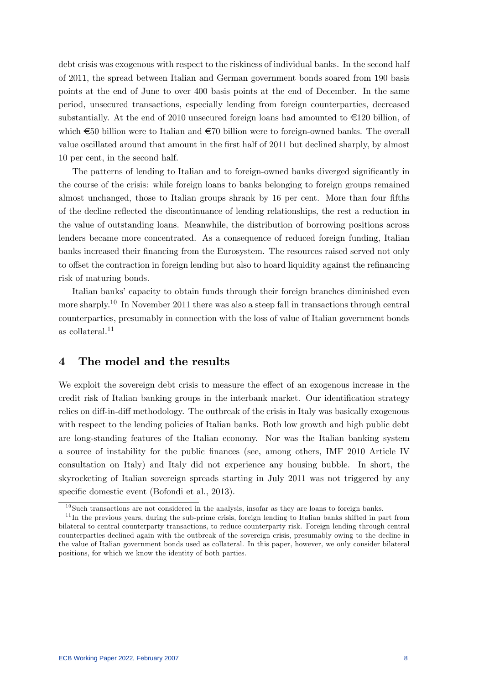debt crisis was exogenous with respect to the riskiness of individual banks. In the second half of 2011, the spread between Italian and German government bonds soared from 190 basis points at the end of June to over 400 basis points at the end of December. In the same period, unsecured transactions, especially lending from foreign counterparties, decreased substantially. At the end of 2010 unsecured foreign loans had amounted to  $\epsilon$ 120 billion, of which  $\epsilon$ 50 billion were to Italian and  $\epsilon$ 70 billion were to foreign-owned banks. The overall value oscillated around that amount in the first half of 2011 but declined sharply, by almost 10 per cent, in the second half.

The patterns of lending to Italian and to foreign-owned banks diverged significantly in the course of the crisis: while foreign loans to banks belonging to foreign groups remained almost unchanged, those to Italian groups shrank by 16 per cent. More than four fifths of the decline reáected the discontinuance of lending relationships, the rest a reduction in the value of outstanding loans. Meanwhile, the distribution of borrowing positions across lenders became more concentrated. As a consequence of reduced foreign funding, Italian banks increased their Önancing from the Eurosystem. The resources raised served not only to offset the contraction in foreign lending but also to hoard liquidity against the refinancing risk of maturing bonds.

Italian banks' capacity to obtain funds through their foreign branches diminished even more sharply.<sup>10</sup> In November 2011 there was also a steep fall in transactions through central counterparties, presumably in connection with the loss of value of Italian government bonds as collateral.<sup>11</sup>

# 4 The model and the results

We exploit the sovereign debt crisis to measure the effect of an exogenous increase in the credit risk of Italian banking groups in the interbank market. Our identification strategy relies on diff-in-diff methodology. The outbreak of the crisis in Italy was basically exogenous with respect to the lending policies of Italian banks. Both low growth and high public debt are long-standing features of the Italian economy. Nor was the Italian banking system a source of instability for the public Önances (see, among others, IMF 2010 Article IV consultation on Italy) and Italy did not experience any housing bubble. In short, the skyrocketing of Italian sovereign spreads starting in July 2011 was not triggered by any specific domestic event (Bofondi et al., 2013).

 $10$ Such transactions are not considered in the analysis, insofar as they are loans to foreign banks.

<sup>&</sup>lt;sup>11</sup>In the previous years, during the sub-prime crisis, foreign lending to Italian banks shifted in part from bilateral to central counterparty transactions, to reduce counterparty risk. Foreign lending through central counterparties declined again with the outbreak of the sovereign crisis, presumably owing to the decline in the value of Italian government bonds used as collateral. In this paper, however, we only consider bilateral positions, for which we know the identity of both parties.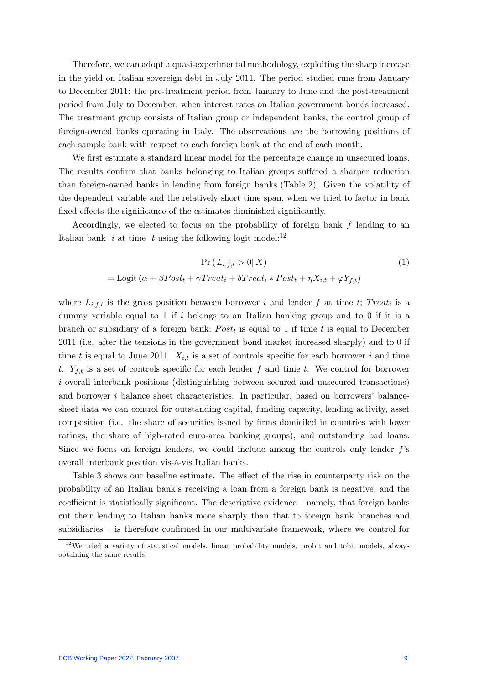Therefore, we can adopt a quasi-experimental methodology, exploiting the sharp increase in the yield on Italian sovereign debt in July 2011. The period studied runs from January to December 2011: the pre-treatment period from January to June and the post-treatment period from July to December, when interest rates on Italian government bonds increased. The treatment group consists of Italian group or independent banks, the control group of foreign-owned banks operating in Italy. The observations are the borrowing positions of each sample bank with respect to each foreign bank at the end of each month.

We first estimate a standard linear model for the percentage change in unsecured loans. The results confirm that banks belonging to Italian groups suffered a sharper reduction than foreign-owned banks in lending from foreign banks (Table 2). Given the volatility of the dependent variable and the relatively short time span, when we tried to factor in bank fixed effects the significance of the estimates diminished significantly.

Accordingly, we elected to focus on the probability of foreign bank f lending to an Italian bank  $i$  at time  $t$  using the following logit model:<sup>12</sup>

$$
\Pr(L_{i,f,t} > 0 | X)
$$
  
= Logit  $(\alpha + \beta Post_t + \gamma Treat_t + \delta Treat_t * Post_t + \eta X_{i,t} + \varphi Y_{f,t})$  (1)

where  $L_{i,f,t}$  is the gross position between borrower i and lender f at time t; Treat<sub>i</sub> is a dummy variable equal to 1 if i belongs to an Italian banking group and to 0 if it is a branch or subsidiary of a foreign bank;  $Post<sub>t</sub>$  is equal to 1 if time t is equal to December 2011 (i.e. after the tensions in the government bond market increased sharply) and to 0 if time t is equal to June 2011.  $X_{i,t}$  is a set of controls specific for each borrower i and time t.  $Y_{f,t}$  is a set of controls specific for each lender f and time t. We control for borrower i overall interbank positions (distinguishing between secured and unsecured transactions) and borrower  $i$  balance sheet characteristics. In particular, based on borrowers' balancesheet data we can control for outstanding capital, funding capacity, lending activity, asset composition (i.e. the share of securities issued by firms domiciled in countries with lower ratings, the share of high-rated euro-area banking groups), and outstanding bad loans. Since we focus on foreign lenders, we could include among the controls only lender  $f$ 's overall interbank position vis-à-vis Italian banks.

Table 3 shows our baseline estimate. The effect of the rise in counterparty risk on the probability of an Italian bankís receiving a loan from a foreign bank is negative, and the coefficient is statistically significant. The descriptive evidence  $-$  namely, that foreign banks cut their lending to Italian banks more sharply than that to foreign bank branches and subsidiaries  $-$  is therefore confirmed in our multivariate framework, where we control for

 $12$  We tried a variety of statistical models, linear probability models, probit and tobit models, always obtaining the same results.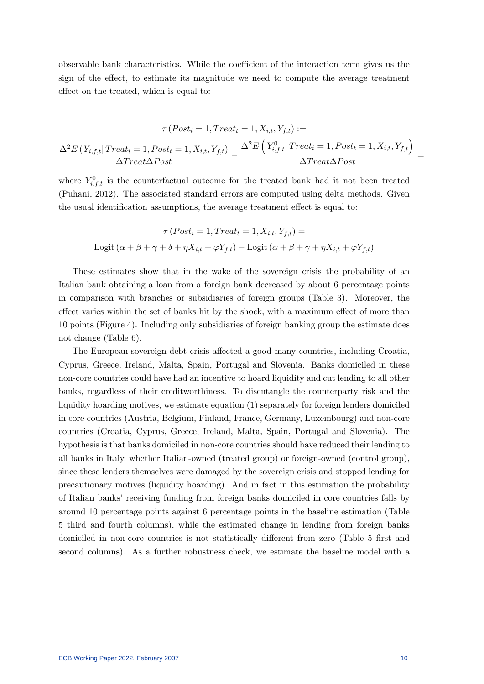observable bank characteristics. While the coefficient of the interaction term gives us the sign of the effect, to estimate its magnitude we need to compute the average treatment effect on the treated, which is equal to:

$$
\tau\left(Post_{i} = 1, Treat_{t} = 1, X_{i,t}, Y_{f,t}\right) :=
$$
\n
$$
\frac{\Delta^{2}E\left(Y_{i,f,t} | Treat_{i} = 1, Post_{t} = 1, X_{i,t}, Y_{f,t}\right)}{\Delta Treat\Delta Post} - \frac{\Delta^{2}E\left(Y_{i,f,t}^{0} | Treat_{i} = 1, Post_{t} = 1, X_{i,t}, Y_{f,t}\right)}{\Delta Treat\Delta Post} =
$$

where  $Y_{i,f,t}^{0}$  is the counterfactual outcome for the treated bank had it not been treated (Puhani, 2012). The associated standard errors are computed using delta methods. Given the usual identification assumptions, the average treatment effect is equal to:

$$
\tau (Post_i = 1, Treat_t = 1, X_{i,t}, Y_{f,t}) =
$$
  
Logit  $(\alpha + \beta + \gamma + \delta + \eta X_{i,t} + \varphi Y_{f,t})$  – Logit  $(\alpha + \beta + \gamma + \eta X_{i,t} + \varphi Y_{f,t})$ 

These estimates show that in the wake of the sovereign crisis the probability of an Italian bank obtaining a loan from a foreign bank decreased by about 6 percentage points in comparison with branches or subsidiaries of foreign groups (Table 3). Moreover, the effect varies within the set of banks hit by the shock, with a maximum effect of more than 10 points (Figure 4). Including only subsidiaries of foreign banking group the estimate does not change (Table 6).

The European sovereign debt crisis affected a good many countries, including Croatia, Cyprus, Greece, Ireland, Malta, Spain, Portugal and Slovenia. Banks domiciled in these non-core countries could have had an incentive to hoard liquidity and cut lending to all other banks, regardless of their creditworthiness. To disentangle the counterparty risk and the liquidity hoarding motives, we estimate equation (1) separately for foreign lenders domiciled in core countries (Austria, Belgium, Finland, France, Germany, Luxembourg) and non-core countries (Croatia, Cyprus, Greece, Ireland, Malta, Spain, Portugal and Slovenia). The hypothesis is that banks domiciled in non-core countries should have reduced their lending to all banks in Italy, whether Italian-owned (treated group) or foreign-owned (control group), since these lenders themselves were damaged by the sovereign crisis and stopped lending for precautionary motives (liquidity hoarding). And in fact in this estimation the probability of Italian banksí receiving funding from foreign banks domiciled in core countries falls by around 10 percentage points against 6 percentage points in the baseline estimation (Table 5 third and fourth columns), while the estimated change in lending from foreign banks domiciled in non-core countries is not statistically different from zero (Table 5 first and second columns). As a further robustness check, we estimate the baseline model with a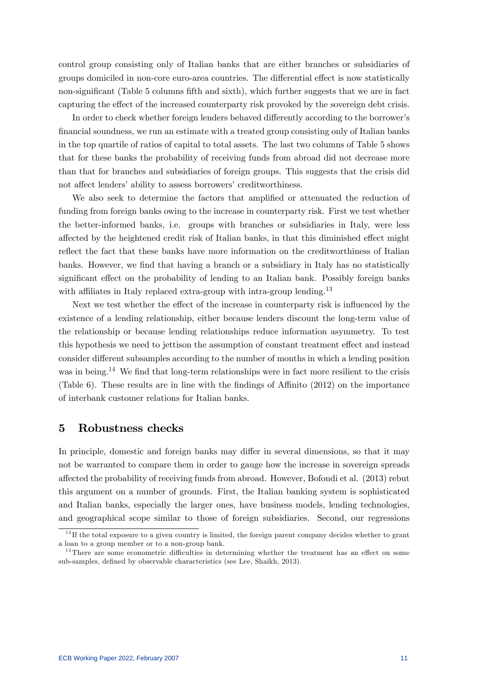control group consisting only of Italian banks that are either branches or subsidiaries of groups domiciled in non-core euro-area countries. The differential effect is now statistically non-significant (Table 5 columns fifth and sixth), which further suggests that we are in fact capturing the effect of the increased counterparty risk provoked by the sovereign debt crisis.

In order to check whether foreign lenders behaved differently according to the borrower's Önancial soundness, we run an estimate with a treated group consisting only of Italian banks in the top quartile of ratios of capital to total assets. The last two columns of Table 5 shows that for these banks the probability of receiving funds from abroad did not decrease more than that for branches and subsidiaries of foreign groups. This suggests that the crisis did not affect lenders' ability to assess borrowers' creditworthiness.

We also seek to determine the factors that amplified or attenuated the reduction of funding from foreign banks owing to the increase in counterparty risk. First we test whether the better-informed banks, i.e. groups with branches or subsidiaries in Italy, were less affected by the heightened credit risk of Italian banks, in that this diminished effect might reflect the fact that these banks have more information on the creditworthiness of Italian banks. However, we find that having a branch or a subsidiary in Italy has no statistically significant effect on the probability of lending to an Italian bank. Possibly foreign banks with affiliates in Italy replaced extra-group with intra-group lending.<sup>13</sup>

Next we test whether the effect of the increase in counterparty risk is influenced by the existence of a lending relationship, either because lenders discount the long-term value of the relationship or because lending relationships reduce information asymmetry. To test this hypothesis we need to jettison the assumption of constant treatment effect and instead consider different subsamples according to the number of months in which a lending position was in being.<sup>14</sup> We find that long-term relationships were in fact more resilient to the crisis (Table 6). These results are in line with the findings of Affinito  $(2012)$  on the importance of interbank customer relations for Italian banks.

## 5 Robustness checks

In principle, domestic and foreign banks may differ in several dimensions, so that it may not be warranted to compare them in order to gauge how the increase in sovereign spreads a§ected the probability of receiving funds from abroad. However, Bofondi et al. (2013) rebut this argument on a number of grounds. First, the Italian banking system is sophisticated and Italian banks, especially the larger ones, have business models, lending technologies, and geographical scope similar to those of foreign subsidiaries. Second, our regressions

 $13$  If the total exposure to a given country is limited, the foreign parent company decides whether to grant a loan to a group member or to a non-group bank.

 $14$ There are some econometric difficulties in determining whether the treatment has an effect on some sub-samples, defined by observable characteristics (see Lee, Shaikh, 2013).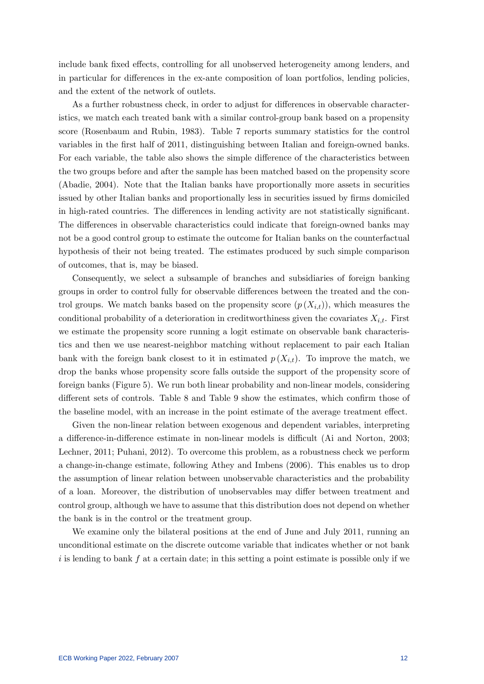include bank fixed effects, controlling for all unobserved heterogeneity among lenders, and in particular for differences in the ex-ante composition of loan portfolios, lending policies, and the extent of the network of outlets.

As a further robustness check, in order to adjust for differences in observable characteristics, we match each treated bank with a similar control-group bank based on a propensity score (Rosenbaum and Rubin, 1983). Table 7 reports summary statistics for the control variables in the Örst half of 2011, distinguishing between Italian and foreign-owned banks. For each variable, the table also shows the simple difference of the characteristics between the two groups before and after the sample has been matched based on the propensity score (Abadie, 2004). Note that the Italian banks have proportionally more assets in securities issued by other Italian banks and proportionally less in securities issued by firms domiciled in high-rated countries. The differences in lending activity are not statistically significant. The differences in observable characteristics could indicate that foreign-owned banks may not be a good control group to estimate the outcome for Italian banks on the counterfactual hypothesis of their not being treated. The estimates produced by such simple comparison of outcomes, that is, may be biased.

Consequently, we select a subsample of branches and subsidiaries of foreign banking groups in order to control fully for observable differences between the treated and the control groups. We match banks based on the propensity score  $(p(X_{i,t}))$ , which measures the conditional probability of a deterioration in creditworthiness given the covariates  $X_{i,t}$ . First we estimate the propensity score running a logit estimate on observable bank characteristics and then we use nearest-neighbor matching without replacement to pair each Italian bank with the foreign bank closest to it in estimated  $p(X_{i,t})$ . To improve the match, we drop the banks whose propensity score falls outside the support of the propensity score of foreign banks (Figure 5). We run both linear probability and non-linear models, considering different sets of controls. Table 8 and Table 9 show the estimates, which confirm those of the baseline model, with an increase in the point estimate of the average treatment effect.

Given the non-linear relation between exogenous and dependent variables, interpreting a difference-in-difference estimate in non-linear models is difficult (Ai and Norton, 2003; Lechner, 2011; Puhani, 2012). To overcome this problem, as a robustness check we perform a change-in-change estimate, following Athey and Imbens (2006). This enables us to drop the assumption of linear relation between unobservable characteristics and the probability of a loan. Moreover, the distribution of unobservables may differ between treatment and control group, although we have to assume that this distribution does not depend on whether the bank is in the control or the treatment group.

We examine only the bilateral positions at the end of June and July 2011, running an unconditional estimate on the discrete outcome variable that indicates whether or not bank  $i$  is lending to bank f at a certain date; in this setting a point estimate is possible only if we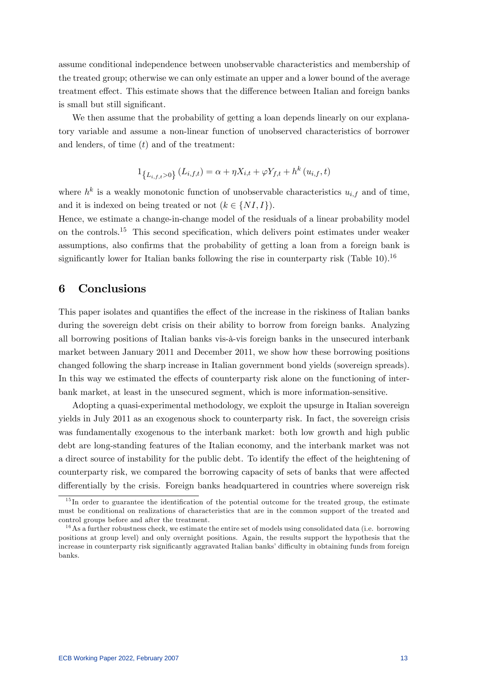assume conditional independence between unobservable characteristics and membership of the treated group; otherwise we can only estimate an upper and a lower bound of the average treatment effect. This estimate shows that the difference between Italian and foreign banks is small but still significant.

We then assume that the probability of getting a loan depends linearly on our explanatory variable and assume a non-linear function of unobserved characteristics of borrower and lenders, of time  $(t)$  and of the treatment:

$$
1_{\{L_{i,f,t}>0\}} (L_{i,f,t}) = \alpha + \eta X_{i,t} + \varphi Y_{f,t} + h^k (u_{i,f}, t)
$$

where  $h^k$  is a weakly monotonic function of unobservable characteristics  $u_{i,f}$  and of time, and it is indexed on being treated or not  $(k \in \{NI, I\}).$ 

Hence, we estimate a change-in-change model of the residuals of a linear probability model on the controls.<sup>15</sup> This second specification, which delivers point estimates under weaker assumptions, also confirms that the probability of getting a loan from a foreign bank is significantly lower for Italian banks following the rise in counterparty risk (Table 10).<sup>16</sup>

# 6 Conclusions

This paper isolates and quantifies the effect of the increase in the riskiness of Italian banks during the sovereign debt crisis on their ability to borrow from foreign banks. Analyzing all borrowing positions of Italian banks vis-‡-vis foreign banks in the unsecured interbank market between January 2011 and December 2011, we show how these borrowing positions changed following the sharp increase in Italian government bond yields (sovereign spreads). In this way we estimated the effects of counterparty risk alone on the functioning of interbank market, at least in the unsecured segment, which is more information-sensitive.

Adopting a quasi-experimental methodology, we exploit the upsurge in Italian sovereign yields in July 2011 as an exogenous shock to counterparty risk. In fact, the sovereign crisis was fundamentally exogenous to the interbank market: both low growth and high public debt are long-standing features of the Italian economy, and the interbank market was not a direct source of instability for the public debt. To identify the effect of the heightening of counterparty risk, we compared the borrowing capacity of sets of banks that were affected differentially by the crisis. Foreign banks headquartered in countries where sovereign risk

 $15$  In order to guarantee the identification of the potential outcome for the treated group, the estimate must be conditional on realizations of characteristics that are in the common support of the treated and control groups before and after the treatment.

 $1<sup>6</sup>$ As a further robustness check, we estimate the entire set of models using consolidated data (i.e. borrowing positions at group level) and only overnight positions. Again, the results support the hypothesis that the increase in counterparty risk significantly aggravated Italian banks' difficulty in obtaining funds from foreign banks.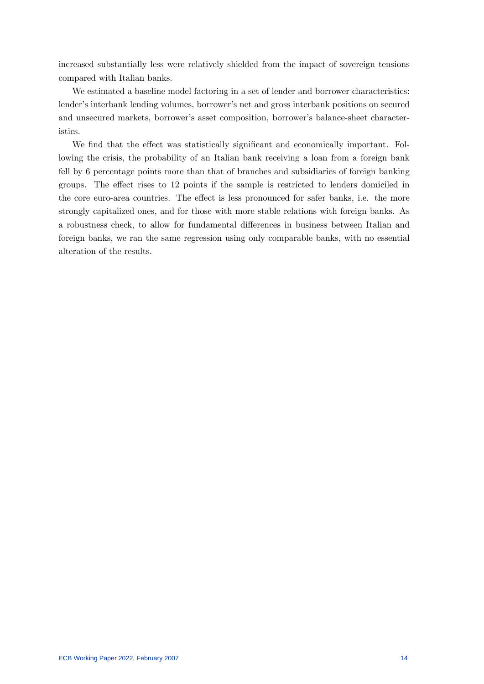increased substantially less were relatively shielded from the impact of sovereign tensions compared with Italian banks.

We estimated a baseline model factoring in a set of lender and borrower characteristics: lender's interbank lending volumes, borrower's net and gross interbank positions on secured and unsecured markets, borrower's asset composition, borrower's balance-sheet characteristics.

We find that the effect was statistically significant and economically important. Following the crisis, the probability of an Italian bank receiving a loan from a foreign bank fell by 6 percentage points more than that of branches and subsidiaries of foreign banking groups. The effect rises to 12 points if the sample is restricted to lenders domiciled in the core euro-area countries. The effect is less pronounced for safer banks, i.e. the more strongly capitalized ones, and for those with more stable relations with foreign banks. As a robustness check, to allow for fundamental differences in business between Italian and foreign banks, we ran the same regression using only comparable banks, with no essential alteration of the results.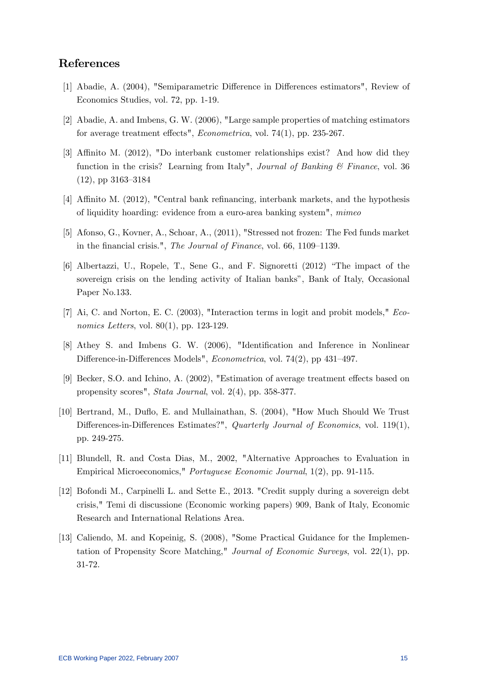## References

- [1] Abadie, A. (2004), "Semiparametric Difference in Differences estimators", Review of Economics Studies, vol. 72, pp. 1-19.
- [2] Abadie, A. and Imbens, G. W. (2006), "Large sample properties of matching estimators for average treatment effects",  $Econometrica$ , vol. 74(1), pp. 235-267.
- [3] Affinito M. (2012), "Do interbank customer relationships exist? And how did they function in the crisis? Learning from Italy", Journal of Banking  $\mathcal C$  Finance, vol. 36  $(12)$ , pp 3163–3184
- [4] Affinito M. (2012), "Central bank refinancing, interbank markets, and the hypothesis of liquidity hoarding: evidence from a euro-area banking system", mimeo
- [5] Afonso, G., Kovner, A., Schoar, A., (2011), "Stressed not frozen: The Fed funds market in the financial crisis.", The Journal of Finance, vol. 66, 1109–1139.
- $[6]$  Albertazzi, U., Ropele, T., Sene G., and F. Signoretti  $(2012)$  "The impact of the sovereign crisis on the lending activity of Italian banks", Bank of Italy, Occasional Paper No.133.
- [7] Ai, C. and Norton, E. C. (2003), "Interaction terms in logit and probit models," Economics Letters, vol. 80(1), pp. 123-129.
- [8] Athey S. and Imbens G. W. (2006), "Identification and Inference in Nonlinear Difference-in-Differences Models", Econometrica, vol. 74(2), pp 431-497.
- [9] Becker, S.O. and Ichino, A. (2002), "Estimation of average treatment effects based on propensity scores", Stata Journal, vol. 2(4), pp. 358-377.
- [10] Bertrand, M., Duflo, E. and Mullainathan, S. (2004), "How Much Should We Trust Differences-in-Differences Estimates?", Quarterly Journal of Economics, vol. 119(1), pp. 249-275.
- [11] Blundell, R. and Costa Dias, M., 2002, "Alternative Approaches to Evaluation in Empirical Microeconomics," Portuguese Economic Journal, 1(2), pp. 91-115.
- [12] Bofondi M., Carpinelli L. and Sette E., 2013. "Credit supply during a sovereign debt crisis," Temi di discussione (Economic working papers) 909, Bank of Italy, Economic Research and International Relations Area.
- [13] Caliendo, M. and Kopeinig, S. (2008), "Some Practical Guidance for the Implementation of Propensity Score Matching," Journal of Economic Surveys, vol. 22(1), pp. 31-72.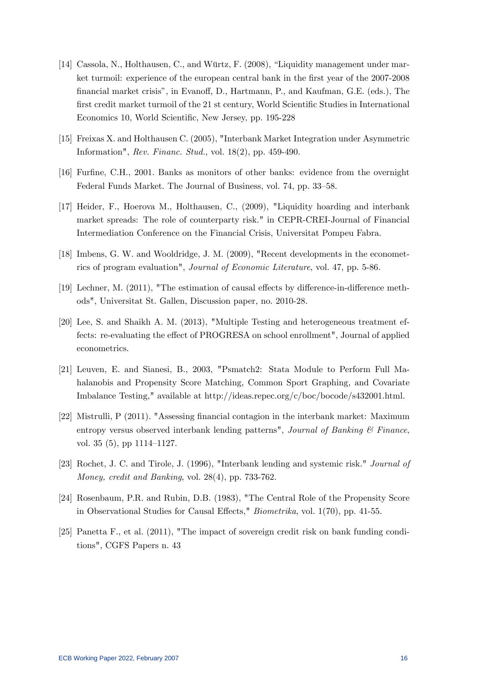- [14] Cassola, N., Holthausen, C., and Würtz, F. (2008), "Liquidity management under market turmoil: experience of the european central bank in the first year of the 2007-2008 financial market crisis", in Evanoff, D., Hartmann, P., and Kaufman, G.E. (eds.), The first credit market turmoil of the 21 st century, World Scientific Studies in International Economics 10, World Scientific, New Jersey, pp. 195-228
- [15] Freixas X. and Holthausen C. (2005), "Interbank Market Integration under Asymmetric Information", Rev. Financ. Stud., vol. 18(2), pp. 459-490.
- [16] Furfine, C.H., 2001. Banks as monitors of other banks: evidence from the overnight Federal Funds Market. The Journal of Business, vol. 74, pp. 33–58.
- [17] Heider, F., Hoerova M., Holthausen, C., (2009), "Liquidity hoarding and interbank market spreads: The role of counterparty risk." in CEPR-CREI-Journal of Financial Intermediation Conference on the Financial Crisis, Universitat Pompeu Fabra.
- [18] Imbens, G. W. and Wooldridge, J. M. (2009), "Recent developments in the econometrics of program evaluation", Journal of Economic Literature, vol. 47, pp. 5-86.
- [19] Lechner, M. (2011), "The estimation of causal effects by difference-in-difference methods", Universitat St. Gallen, Discussion paper, no. 2010-28.
- [20] Lee, S. and Shaikh A. M. (2013), "Multiple Testing and heterogeneous treatment effects: re-evaluating the effect of PROGRESA on school enrollment", Journal of applied econometrics.
- [21] Leuven, E. and Sianesi, B., 2003, "Psmatch2: Stata Module to Perform Full Mahalanobis and Propensity Score Matching, Common Sport Graphing, and Covariate Imbalance Testing," available at http://ideas.repec.org/c/boc/bocode/s432001.html.
- [22] Mistrulli, P (2011). "Assessing Önancial contagion in the interbank market: Maximum entropy versus observed interbank lending patterns", Journal of Banking & Finance, vol. 35 (5), pp  $1114-1127$ .
- [23] Rochet, J. C. and Tirole, J. (1996), "Interbank lending and systemic risk." Journal of Money, credit and Banking, vol. 28(4), pp. 733-762.
- [24] Rosenbaum, P.R. and Rubin, D.B. (1983), "The Central Role of the Propensity Score in Observational Studies for Causal Effects,"  $Biometrika$ , vol. 1(70), pp. 41-55.
- [25] Panetta F., et al. (2011), "The impact of sovereign credit risk on bank funding conditions", CGFS Papers n. 43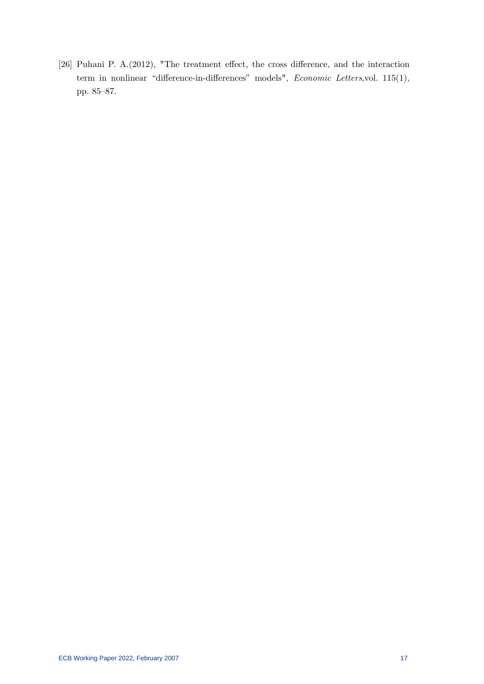[26] Puhani P.  $A.(2012)$ , "The treatment effect, the cross difference, and the interaction term in nonlinear "difference-in-differences" models", Economic Letters,vol. 115(1), pp. 85–87.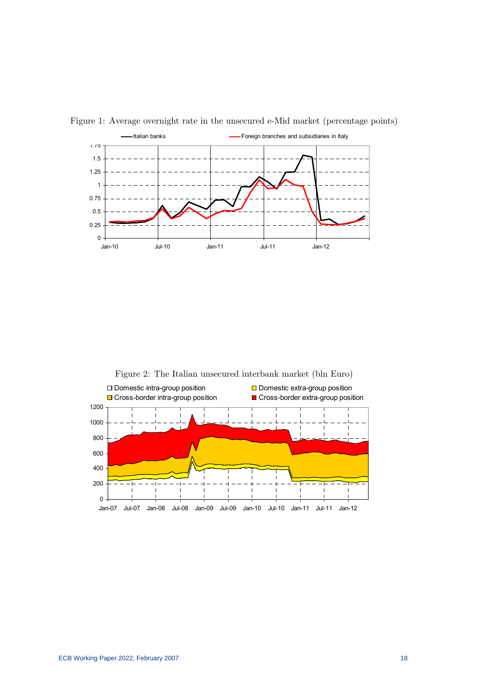



Figure 2: The Italian unsecured interbank market (bln Euro)

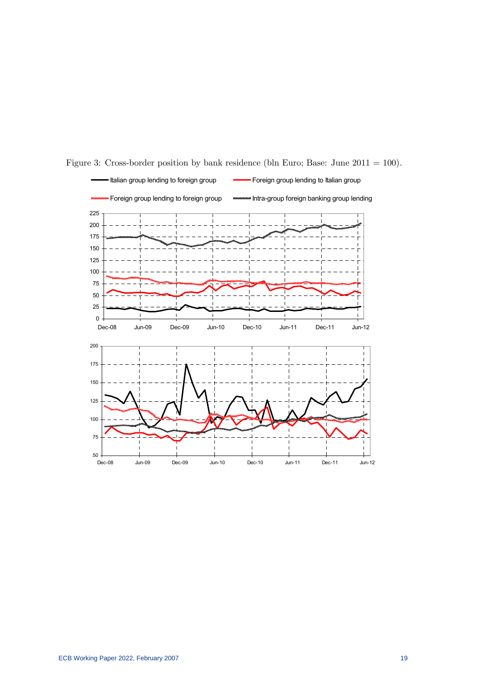

Figure 3: Cross-border position by bank residence (bln Euro; Base: June 2011 = 100).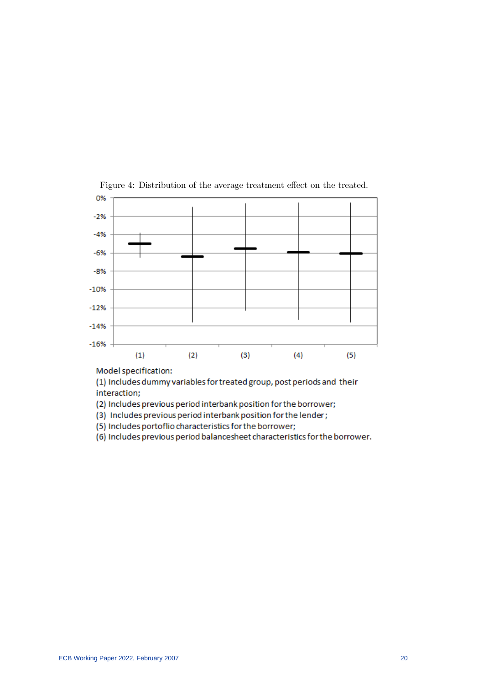

Figure 4: Distribution of the average treatment effect on the treated.

Model specification:

(1) Includes dummy variables for treated group, post periods and their interaction;

- (2) Includes previous period interbank position for the borrower;
- (3) Includes previous period interbank position for the lender;
- (5) Includes portoflio characteristics for the borrower;
- (6) Includes previous period balancesheet characteristics for the borrower.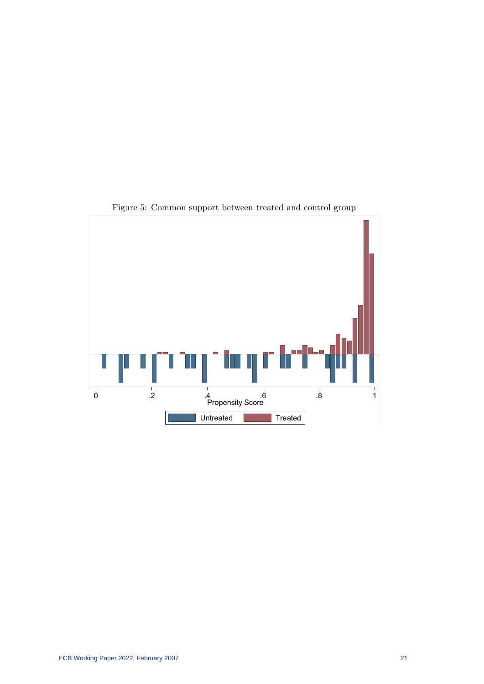

Figure 5: Common support between treated and control group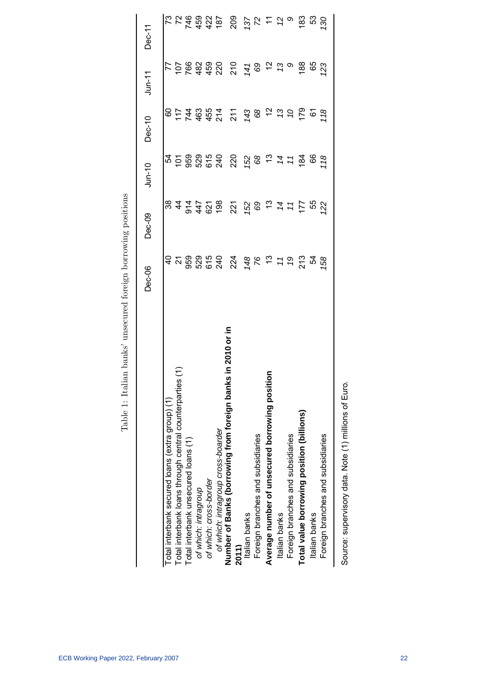|                                                                         | <b>Dec-06</b>        | <b>Dec-09</b>         | $J$ un-10      | $Dec-10$                         | $J$ un-11             | Dec-11                  |
|-------------------------------------------------------------------------|----------------------|-----------------------|----------------|----------------------------------|-----------------------|-------------------------|
| Total interbank secured loans (extra group) (1)                         |                      |                       |                |                                  |                       |                         |
| Total interbank loans through central counterparties                    |                      |                       |                |                                  |                       |                         |
| Total interbank unsecured loans (1)                                     |                      |                       |                |                                  |                       |                         |
| of which: intragroup                                                    |                      | $847728$<br>$2847728$ |                | 0 1 1 1 1 1 1<br>0 1 1 1 1 1 1 1 |                       | <b>224832</b><br>224832 |
| of which: cross-border                                                  |                      |                       |                |                                  |                       |                         |
| of which: intragroup cross-boarder                                      |                      |                       |                |                                  |                       |                         |
| in 2010 or in<br>Number of Banks (borrowing from foreign banks<br>2011) | 224                  | 221                   | 220            | 211                              | $210$<br>$74$<br>$69$ | 209                     |
| Italian banks                                                           |                      |                       |                |                                  |                       |                         |
| Foreign branches and subsidiaries                                       |                      |                       |                |                                  |                       |                         |
| Average number of unsecured borrowing position                          | 480520               | 58527                 | 58277          | 48220                            | $\frac{1}{2}$         | 55650                   |
| Italian banks                                                           |                      |                       |                |                                  | 73                    |                         |
| Foreign branches and subsidiaries                                       |                      |                       |                |                                  | $\circ$               |                         |
| Total value borrowing position (billions)                               |                      | $177$<br>55           | 184            | 179                              | $^{88}$               | 183                     |
| Italian banks                                                           | 21<br>21<br>28<br>20 |                       | 89             | $\overline{6}$                   | 65<br>123             | င္ယာ                    |
| Foreign branches and subsidiaries                                       |                      | 22                    | $\frac{8}{18}$ | 18                               |                       | $\overline{30}$         |
|                                                                         |                      |                       |                |                                  |                       |                         |

Table 1: Italian banks' unsecured foreign borrowing positions Table 1: Italian banks' unsecured foreign borrowing positions

Source: supervisory data. Note (1) millions of Euro. Source: supervisory data. Note (1) millions of Euro.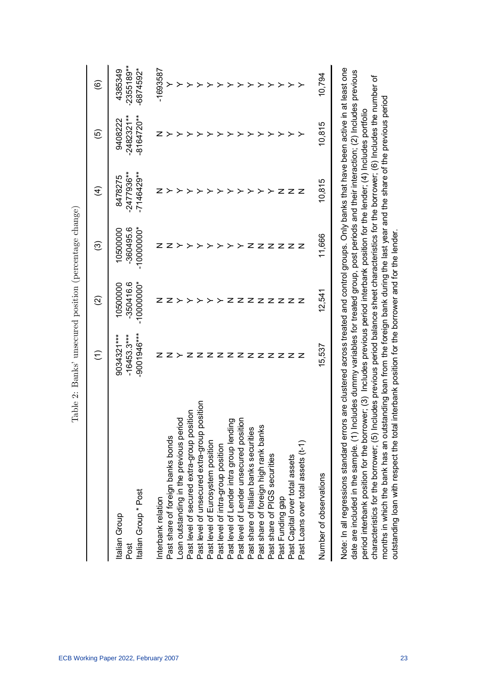|                                                 | Ξ             | ତ୍ର          | ල                     | E                       | ම                        | $\widehat{\circ}$    |
|-------------------------------------------------|---------------|--------------|-----------------------|-------------------------|--------------------------|----------------------|
|                                                 | 9034321***    | 10500000     |                       |                         |                          |                      |
| Italian Group<br>Post                           | $-16453.3***$ | $-350416.6$  | -360495.6<br>10500000 | $-2477936**$<br>8478275 | $-2482321***$<br>9408222 | 2355189**<br>4385349 |
| Italian Group * Post                            | -9001946 ***  | $-10000000*$ | $-10000000*$          | $-7146429**$            | $-8164720***$            | $-6874592*$          |
| Interbank relation                              |               |              |                       |                         |                          | $-1693587$           |
| Past share of foreign banks bonds               |               |              |                       |                         |                          |                      |
| Loan outstanding in the previous period         |               |              |                       |                         |                          |                      |
| Past level of secured extra-group position      |               |              |                       |                         |                          |                      |
| position<br>Past level of unsecured extra-group |               |              |                       |                         |                          |                      |
| Past level of Eurosystem position               |               |              |                       |                         |                          |                      |
| Past level of intra-group position              |               |              |                       |                         |                          |                      |
| Past level of Lender intra group lending        |               |              |                       |                         |                          |                      |
| Past level of Lender unsecured position         |               | z            |                       |                         |                          |                      |
| Past share of Italian banks securities          | zzzz          | z            |                       |                         |                          |                      |
| w<br>Past share of foreign high rank bank       |               | z            |                       |                         |                          |                      |
| Past share of PIGS securities                   | z             | z            |                       |                         |                          |                      |
| Past Funding gap                                |               | z            |                       |                         |                          |                      |
| Past Capital over total assets                  | z z z         | z            |                       |                         |                          |                      |
| Past Loans over total assets (t-1)              |               |              |                       |                         |                          |                      |
| Number of observations                          | 15,537        | 12,541       | 11,666                | 10,815                  | 10,815                   | 10,794               |
|                                                 |               |              |                       |                         |                          |                      |

Note: In all regressions standard errors are clustered across treated and control groups. Only banks that have been active in at least one Note: In all regressions standard errors are clustered across treated and control groups. Only banks that have been active in at least one date are included in the sample. (1) Includes dummy variables for treated group, post periods and their interaction; (2) Includes previous date are included in the sample. (1) Includes dummy variables for treated group, post periods and their interaction; (2) Includes previous characteristics for the borrower; (5) Includes previous period balance sheet characteristics for the borrower; (6) Includes the number of characteristics for the borrower; (5) Includes previous period balance sheet characteristics for the borrower; (6) Includes the number of months in which the bank has an outstanding loan from the foreign bank during the last year and the share of the previous period months in which the bank has an outstanding loan from the foreign bank during the last year and the share of the previous period period interbank position for the borrower; (3) Includes previous period interbank position for the lender; (4) Includes portfolio period interbank position for the borrower; (3) Includes previous period interbank position for the lender; (4) Includes portfolio outstanding loan with respect the total interbank position for the borrower and for the lender. outstanding loan with respect the total interbank position for the borrower and for the lender.

Table 2: Banks' unsecured position (percentage change)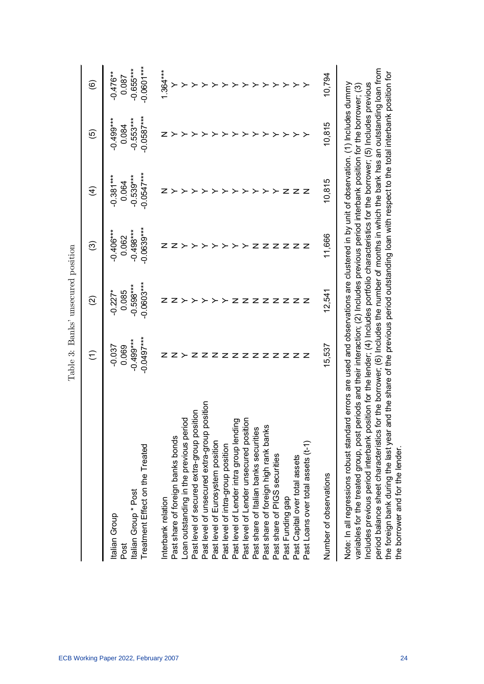|                                                                                                                                                                                                                                                                                                                                                                                                                                                 |                                                                                                                                                                                                                                                                                                                     | Table 3: Banks' unsecured position |                      |                         |                      |                      |
|-------------------------------------------------------------------------------------------------------------------------------------------------------------------------------------------------------------------------------------------------------------------------------------------------------------------------------------------------------------------------------------------------------------------------------------------------|---------------------------------------------------------------------------------------------------------------------------------------------------------------------------------------------------------------------------------------------------------------------------------------------------------------------|------------------------------------|----------------------|-------------------------|----------------------|----------------------|
|                                                                                                                                                                                                                                                                                                                                                                                                                                                 | $\widehat{\in}$                                                                                                                                                                                                                                                                                                     | $\widehat{\infty}$                 | ල                    | $\widehat{\mathcal{A}}$ | ම                    | ම                    |
| Italian Group                                                                                                                                                                                                                                                                                                                                                                                                                                   | $-0.037$                                                                                                                                                                                                                                                                                                            | $-0.227$ *                         | $-0.406***$          | $-0.381***$             | $-0.499***$          | $-0.476**$           |
| Italian Group * Post<br>Post                                                                                                                                                                                                                                                                                                                                                                                                                    | $-0.499***$<br>0.069                                                                                                                                                                                                                                                                                                | $-0.598***$<br>0.085               | $-0.498***$<br>0.062 | $-0.539***$<br>0.064    | $-0.553***$<br>0.084 | $-0.655***$<br>0.087 |
| Treatment Effect on the Treated                                                                                                                                                                                                                                                                                                                                                                                                                 | $-0.0497***$                                                                                                                                                                                                                                                                                                        | $-0.0603***$                       | $-0.0639***$         | $-0.0547***$            | $-0.0587***$         | $-0.0601***$         |
| Interbank relation                                                                                                                                                                                                                                                                                                                                                                                                                              |                                                                                                                                                                                                                                                                                                                     |                                    | z                    |                         |                      | $1.364***$           |
| Past share of foreign banks bonds                                                                                                                                                                                                                                                                                                                                                                                                               | z                                                                                                                                                                                                                                                                                                                   |                                    |                      |                         |                      |                      |
| Loan outstanding in the previous period                                                                                                                                                                                                                                                                                                                                                                                                         |                                                                                                                                                                                                                                                                                                                     |                                    |                      |                         |                      |                      |
| Past level of secured extra-group position                                                                                                                                                                                                                                                                                                                                                                                                      | z                                                                                                                                                                                                                                                                                                                   |                                    |                      |                         |                      |                      |
| position<br>Past level of unsecured extra-group                                                                                                                                                                                                                                                                                                                                                                                                 | z                                                                                                                                                                                                                                                                                                                   |                                    |                      |                         |                      |                      |
| Past level of Eurosystem position                                                                                                                                                                                                                                                                                                                                                                                                               | z                                                                                                                                                                                                                                                                                                                   |                                    |                      |                         | ⋗                    |                      |
| Past level of intra-group position                                                                                                                                                                                                                                                                                                                                                                                                              | z                                                                                                                                                                                                                                                                                                                   |                                    |                      |                         |                      |                      |
| Past level of Lender intra group lending                                                                                                                                                                                                                                                                                                                                                                                                        | z                                                                                                                                                                                                                                                                                                                   | z                                  |                      |                         | ≻                    |                      |
| Past level of Lender unsecured position                                                                                                                                                                                                                                                                                                                                                                                                         | z                                                                                                                                                                                                                                                                                                                   | z                                  |                      |                         | ≻                    |                      |
| Past share of Italian banks securities                                                                                                                                                                                                                                                                                                                                                                                                          | z                                                                                                                                                                                                                                                                                                                   |                                    | z                    |                         | ≻                    |                      |
| Past share of foreign high rank banks                                                                                                                                                                                                                                                                                                                                                                                                           | z                                                                                                                                                                                                                                                                                                                   |                                    | z                    |                         | ≻                    |                      |
| Past share of PIGS securities                                                                                                                                                                                                                                                                                                                                                                                                                   | z                                                                                                                                                                                                                                                                                                                   |                                    | z                    |                         | ≻                    |                      |
| Past Funding gap                                                                                                                                                                                                                                                                                                                                                                                                                                | z                                                                                                                                                                                                                                                                                                                   |                                    | z                    | z                       | ≻                    | ≻                    |
| Past Capital over total assets                                                                                                                                                                                                                                                                                                                                                                                                                  | z                                                                                                                                                                                                                                                                                                                   | Z Z Z Z Z Z                        | z z                  | z                       | ≻                    | ≻                    |
| Past Loans over total assets (t-1)                                                                                                                                                                                                                                                                                                                                                                                                              | z                                                                                                                                                                                                                                                                                                                   |                                    |                      | $\mathbf{z}$            | ≻                    |                      |
| Number of observations                                                                                                                                                                                                                                                                                                                                                                                                                          | 15,537                                                                                                                                                                                                                                                                                                              | 12,541                             | 11,666               | 10,815                  | 10,815               | 10,794               |
| Note: In all regressions robust standard errors are used and observations are clustered in by unit of observation. (1) Includes dummy<br>ncludes previous period interbank position for the lender; (4) Indudes portfolio characteristics for the borrower; (5) Includes previous<br>period balance sheet characteristics<br>variables for the treated group, post<br>the foreign bank during the last year<br>the borrower and for the lender. | for the borrower; (6) Indudes the number of months in which the bank has an outstanding loan from<br>and the share of the previous period outstanding loan with respect to the total interbank position for<br>periods and their interaction; (2) Includes previous period interbank position for the borrower; (3) |                                    |                      |                         |                      |                      |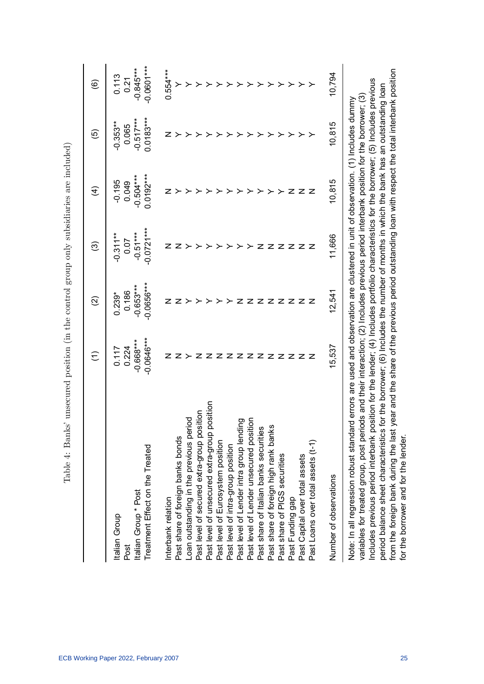| l                                                                                                    |
|------------------------------------------------------------------------------------------------------|
|                                                                                                      |
| j                                                                                                    |
|                                                                                                      |
|                                                                                                      |
|                                                                                                      |
|                                                                                                      |
|                                                                                                      |
|                                                                                                      |
| ים<br>י                                                                                              |
| ı                                                                                                    |
| ジーロー                                                                                                 |
|                                                                                                      |
| j                                                                                                    |
|                                                                                                      |
|                                                                                                      |
|                                                                                                      |
|                                                                                                      |
| ;<br>;<br>;                                                                                          |
|                                                                                                      |
|                                                                                                      |
| )<br>}<br>}                                                                                          |
|                                                                                                      |
|                                                                                                      |
| ソンス                                                                                                  |
|                                                                                                      |
|                                                                                                      |
| ĺ                                                                                                    |
|                                                                                                      |
| į                                                                                                    |
| ֖֧֖֧֚֚֚֚֚֚֚֚֚֚֚֚֚֓֝֝֝֓֝֓֕֓֕֓֝֬֝֟֓֬֝֬֝֬֝֬֝֓֬֝֬֝֬֝֬֝֬֝֬֝֓<br>֧֖֖֖֖֖֖֚֚֚֚֚֝֩֩֩֩֓֝֬֝֓֝֬֝֬֝֓֝֝֟<br>j<br>i |
| l                                                                                                    |

|                                                                                                                                                                                                                                                                                                                                                                                                                                                                                                                                                      | Ξ                                                                                                                                                                                                   | $\widehat{\infty}$          | ල                          | $\widehat{\mathcal{A}}$    | ම                          | ම                           |
|------------------------------------------------------------------------------------------------------------------------------------------------------------------------------------------------------------------------------------------------------------------------------------------------------------------------------------------------------------------------------------------------------------------------------------------------------------------------------------------------------------------------------------------------------|-----------------------------------------------------------------------------------------------------------------------------------------------------------------------------------------------------|-----------------------------|----------------------------|----------------------------|----------------------------|-----------------------------|
| Italian Group<br>Post                                                                                                                                                                                                                                                                                                                                                                                                                                                                                                                                | 0.224<br>0.117                                                                                                                                                                                      | 0.186<br>$0.239*$           | $-0.311**$<br>0.07         | $-0.195$<br>0.049          | $-0.353***$<br>0.065       | 0.113<br>0.21               |
| Treatment Effect on the Treated<br>Italian Group * Post                                                                                                                                                                                                                                                                                                                                                                                                                                                                                              | $-0.0646***$<br>$-0.668***$                                                                                                                                                                         | $-0.0656***$<br>$-0.653***$ | $-0.0721***$<br>$-0.51***$ | $0.0192***$<br>$-0.504***$ | $0.0183***$<br>$-0.517***$ | $-0.0601***$<br>$-0.845***$ |
| Interbank relation                                                                                                                                                                                                                                                                                                                                                                                                                                                                                                                                   |                                                                                                                                                                                                     |                             |                            |                            |                            | $0.554***$                  |
| Past share of foreign banks bonds                                                                                                                                                                                                                                                                                                                                                                                                                                                                                                                    |                                                                                                                                                                                                     |                             |                            |                            |                            |                             |
| Loan outstanding in the previous period                                                                                                                                                                                                                                                                                                                                                                                                                                                                                                              |                                                                                                                                                                                                     |                             |                            |                            |                            |                             |
| Past level of secured extra-group position                                                                                                                                                                                                                                                                                                                                                                                                                                                                                                           |                                                                                                                                                                                                     |                             |                            |                            |                            |                             |
| Past level of unsecured extra-group position                                                                                                                                                                                                                                                                                                                                                                                                                                                                                                         |                                                                                                                                                                                                     |                             |                            |                            |                            |                             |
| Past level of Eurosystem position                                                                                                                                                                                                                                                                                                                                                                                                                                                                                                                    | z                                                                                                                                                                                                   |                             |                            |                            |                            |                             |
| Past level of intra-group position                                                                                                                                                                                                                                                                                                                                                                                                                                                                                                                   | z                                                                                                                                                                                                   |                             |                            |                            |                            |                             |
| Past level of Lender intra group lending                                                                                                                                                                                                                                                                                                                                                                                                                                                                                                             | z                                                                                                                                                                                                   | z                           |                            |                            |                            |                             |
| Past level of Lender unsecured position                                                                                                                                                                                                                                                                                                                                                                                                                                                                                                              | z                                                                                                                                                                                                   | z                           |                            |                            |                            |                             |
| Past share of Italian banks securities                                                                                                                                                                                                                                                                                                                                                                                                                                                                                                               | z                                                                                                                                                                                                   | z                           |                            |                            |                            |                             |
| Past share of foreign high rank banks                                                                                                                                                                                                                                                                                                                                                                                                                                                                                                                | z                                                                                                                                                                                                   | z z                         | z                          |                            |                            |                             |
| Past share of PIGS securities                                                                                                                                                                                                                                                                                                                                                                                                                                                                                                                        | z                                                                                                                                                                                                   |                             | z                          |                            |                            |                             |
| Past Funding gap                                                                                                                                                                                                                                                                                                                                                                                                                                                                                                                                     | z                                                                                                                                                                                                   | z z z                       | z                          | z                          |                            | ≻                           |
| Past Capital over total assets                                                                                                                                                                                                                                                                                                                                                                                                                                                                                                                       | z z                                                                                                                                                                                                 |                             | z                          | z                          |                            |                             |
| Past Loans over total assets (t-1)                                                                                                                                                                                                                                                                                                                                                                                                                                                                                                                   |                                                                                                                                                                                                     |                             | z                          | z                          |                            |                             |
| Number of observations                                                                                                                                                                                                                                                                                                                                                                                                                                                                                                                               | 15,537                                                                                                                                                                                              | 12,541                      | 11,666                     | 10,815                     | 10,815                     | 10,794                      |
| noludes previous period interbank position for the lender; (4) Includes portfolio characteristics for the borrower; (5) Includes previous<br>variables for treated group, post periods and their interaction; (2) Includes previous period interbank position for the borrower; (3)<br>Note: In all regression robust standard errors are used and observation are clustered in unit of observation. (1) Includes dummy<br>from the foreign bank during the last y<br>period balance sheet characteristics t<br>for the borrower and for the lender. | ear and the share of the previous period outstanding loan with respect the total interbank position<br>or the borrower; (6) Includes the number of months in which the bank has an outstanding loan |                             |                            |                            |                            |                             |

ECB Working Paper 2022, February 2007 25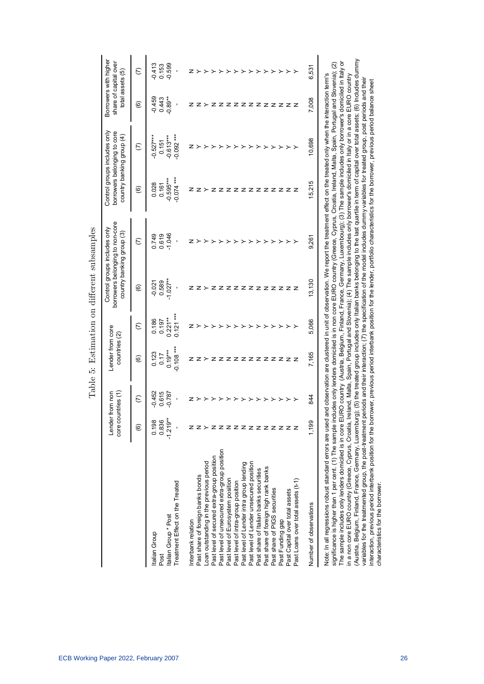|                                                                                                                                                                                                                                                                                                                                                                                                                                                                                                                                                                                                  | Lender from non<br>core countries (1) |                                               | Lender from core<br>countries (2)                 |                                           |                                 | borrowers belonging to non-core<br>Control groups includes only<br>country banking group (3)                                                                                                                                                                                                                                                                                                                                                                                                                                                                                                                                                                                                                                                                                                          |                                              | Control groups includes only<br>borrowers belonging to core<br>country banking group (4) | Borrowers with higher<br>share of capital over<br>total assets (5) |                               |
|--------------------------------------------------------------------------------------------------------------------------------------------------------------------------------------------------------------------------------------------------------------------------------------------------------------------------------------------------------------------------------------------------------------------------------------------------------------------------------------------------------------------------------------------------------------------------------------------------|---------------------------------------|-----------------------------------------------|---------------------------------------------------|-------------------------------------------|---------------------------------|-------------------------------------------------------------------------------------------------------------------------------------------------------------------------------------------------------------------------------------------------------------------------------------------------------------------------------------------------------------------------------------------------------------------------------------------------------------------------------------------------------------------------------------------------------------------------------------------------------------------------------------------------------------------------------------------------------------------------------------------------------------------------------------------------------|----------------------------------------------|------------------------------------------------------------------------------------------|--------------------------------------------------------------------|-------------------------------|
|                                                                                                                                                                                                                                                                                                                                                                                                                                                                                                                                                                                                  | ම                                     | $\widehat{C}$                                 | ම                                                 | $\widehat{C}$                             | <u>ම</u>                        | $\widehat{C}$                                                                                                                                                                                                                                                                                                                                                                                                                                                                                                                                                                                                                                                                                                                                                                                         | $\circlede$                                  | $\widehat{C}$                                                                            | $\circlede$                                                        | $\widehat{C}$                 |
| Treatment Effect on the Treated<br>Italian Group * Post<br>Italian Group<br>Post                                                                                                                                                                                                                                                                                                                                                                                                                                                                                                                 | 0.198<br>0.836<br>$-1.219*$<br>f,     | $-0.452$<br>0.615<br>$-0.787$<br>$\mathbf{I}$ | $-0.108***$<br>$0.19***$<br>0.123<br>0.17         | $0.121***$<br>$0.221**$<br>0.186<br>0.197 | $-1.027**$<br>0.589<br>$-0.021$ | $-1.046$<br>0.749<br>0.619                                                                                                                                                                                                                                                                                                                                                                                                                                                                                                                                                                                                                                                                                                                                                                            | $-0.074***$<br>$-0.595***$<br>0.028<br>0.161 | $0.092***$<br>$-0.613***$<br>$0.527***$<br>0.151                                         | $-0.89**$<br>$-0.459$<br>0.443                                     | $-0.599$<br>$-0.413$<br>0.153 |
| Interbank relation                                                                                                                                                                                                                                                                                                                                                                                                                                                                                                                                                                               |                                       | z                                             |                                                   |                                           |                                 |                                                                                                                                                                                                                                                                                                                                                                                                                                                                                                                                                                                                                                                                                                                                                                                                       |                                              |                                                                                          |                                                                    |                               |
| Past share of foreign banks bonds                                                                                                                                                                                                                                                                                                                                                                                                                                                                                                                                                                |                                       |                                               |                                                   |                                           |                                 |                                                                                                                                                                                                                                                                                                                                                                                                                                                                                                                                                                                                                                                                                                                                                                                                       |                                              |                                                                                          |                                                                    |                               |
| Loan outstanding in the previous period                                                                                                                                                                                                                                                                                                                                                                                                                                                                                                                                                          |                                       |                                               |                                                   |                                           |                                 |                                                                                                                                                                                                                                                                                                                                                                                                                                                                                                                                                                                                                                                                                                                                                                                                       |                                              |                                                                                          |                                                                    |                               |
| Past level of secured extra-group position                                                                                                                                                                                                                                                                                                                                                                                                                                                                                                                                                       |                                       | ≻                                             | z                                                 |                                           |                                 |                                                                                                                                                                                                                                                                                                                                                                                                                                                                                                                                                                                                                                                                                                                                                                                                       | z                                            |                                                                                          |                                                                    |                               |
| Past level of unsecured extra-group position                                                                                                                                                                                                                                                                                                                                                                                                                                                                                                                                                     | ZZZZZZZZZZZ                           | ≻                                             |                                                   |                                           | z                               |                                                                                                                                                                                                                                                                                                                                                                                                                                                                                                                                                                                                                                                                                                                                                                                                       |                                              |                                                                                          | z                                                                  |                               |
| Past level of Eurosystem position                                                                                                                                                                                                                                                                                                                                                                                                                                                                                                                                                                |                                       | ≻                                             | Z Z Z Z Z Z Z Z Z Z                               |                                           | z                               |                                                                                                                                                                                                                                                                                                                                                                                                                                                                                                                                                                                                                                                                                                                                                                                                       |                                              |                                                                                          | z                                                                  | ≻                             |
| Past level of intra-group position                                                                                                                                                                                                                                                                                                                                                                                                                                                                                                                                                               |                                       | ≻                                             |                                                   |                                           | z                               |                                                                                                                                                                                                                                                                                                                                                                                                                                                                                                                                                                                                                                                                                                                                                                                                       | z                                            | ≻                                                                                        | ZZZZ                                                               | ≻                             |
| Past level of Lender intra group lending                                                                                                                                                                                                                                                                                                                                                                                                                                                                                                                                                         |                                       | ≻                                             |                                                   |                                           |                                 |                                                                                                                                                                                                                                                                                                                                                                                                                                                                                                                                                                                                                                                                                                                                                                                                       |                                              | ≻                                                                                        |                                                                    | ≻                             |
| Past level of Lender unsecured position                                                                                                                                                                                                                                                                                                                                                                                                                                                                                                                                                          |                                       | ≻                                             |                                                   |                                           | zzz                             |                                                                                                                                                                                                                                                                                                                                                                                                                                                                                                                                                                                                                                                                                                                                                                                                       | zzz                                          |                                                                                          |                                                                    |                               |
| Past share of Italian banks securities                                                                                                                                                                                                                                                                                                                                                                                                                                                                                                                                                           |                                       | ≻                                             |                                                   |                                           |                                 |                                                                                                                                                                                                                                                                                                                                                                                                                                                                                                                                                                                                                                                                                                                                                                                                       |                                              |                                                                                          |                                                                    | ≻                             |
| Past share of foreign high rank banks                                                                                                                                                                                                                                                                                                                                                                                                                                                                                                                                                            |                                       | ≻                                             |                                                   |                                           | z                               | ≻                                                                                                                                                                                                                                                                                                                                                                                                                                                                                                                                                                                                                                                                                                                                                                                                     | z                                            | ≻                                                                                        | z                                                                  | ≻                             |
| Past share of PIGS securities                                                                                                                                                                                                                                                                                                                                                                                                                                                                                                                                                                    |                                       | ≻                                             |                                                   |                                           |                                 | ≻                                                                                                                                                                                                                                                                                                                                                                                                                                                                                                                                                                                                                                                                                                                                                                                                     |                                              | ≻                                                                                        |                                                                    | ≻                             |
| Past Funding gap                                                                                                                                                                                                                                                                                                                                                                                                                                                                                                                                                                                 |                                       |                                               |                                                   |                                           | zzzz                            | ≻                                                                                                                                                                                                                                                                                                                                                                                                                                                                                                                                                                                                                                                                                                                                                                                                     | ZZZZ                                         |                                                                                          | z z z z                                                            | ≻                             |
| Past Capital over total assets                                                                                                                                                                                                                                                                                                                                                                                                                                                                                                                                                                   |                                       |                                               |                                                   |                                           |                                 | ≻                                                                                                                                                                                                                                                                                                                                                                                                                                                                                                                                                                                                                                                                                                                                                                                                     |                                              | ≻                                                                                        |                                                                    | ≻                             |
| Past Loans over total assets (t-1)                                                                                                                                                                                                                                                                                                                                                                                                                                                                                                                                                               |                                       |                                               |                                                   |                                           |                                 |                                                                                                                                                                                                                                                                                                                                                                                                                                                                                                                                                                                                                                                                                                                                                                                                       |                                              |                                                                                          |                                                                    |                               |
| Number of observations                                                                                                                                                                                                                                                                                                                                                                                                                                                                                                                                                                           | 1,199                                 | 844                                           | 7,165                                             | 5,066                                     | 13,130                          | 9,261                                                                                                                                                                                                                                                                                                                                                                                                                                                                                                                                                                                                                                                                                                                                                                                                 | 15,215                                       | 10,698                                                                                   | 7,008                                                              | 531<br>6                      |
| The sample includes only lenders domiciled is in core EURO country (Austria, Belgium, Finland, France, Germany, Luxembourg); (3) The sample includes only borrower's domiciled in Italy or<br>Note: In all regressions robust standard errors are used<br>significance is higher than 1 per cent. (1) The sample in<br>(Austria, Belgium, Finland, France, Germany, Luxembu<br>variables for the treatmented group, the post-treatment<br>nteraction, previous period interbank position for the bo<br>in a non core EURO country (Greece, Cyprus, Croatia,<br>characteristics for the borrower. |                                       |                                               | reland, Malta, Spain, Portugal and Slovenia); (4) |                                           |                                 | rg); (5) the treated group includes only Italian banks belonging to the last quartile in term of capital over total assets; (6) Includes dummy<br>ocludes only lenders domiciled is in non core EURO country (Greece, Cyprus, Croatia, Ireland, Malta, Spain, Portugal and Slovenia); (2)<br>and observation are clustered in unit of observation. We report the treatment effect on the treated only when the interaction term's<br>The sample includes only borrower's domiciled in Italy or in a core EURO country<br>periods and their interaction; (7) the specification of the model includes dummy variables for treated group, post periods and their<br>rrower, previous period interbank position for the lender, portfolio characteristics for the borrower, previous period balance sheet |                                              |                                                                                          |                                                                    |                               |

Table 5: Estimation on different subsamples Table 5: Estimation on different subsamples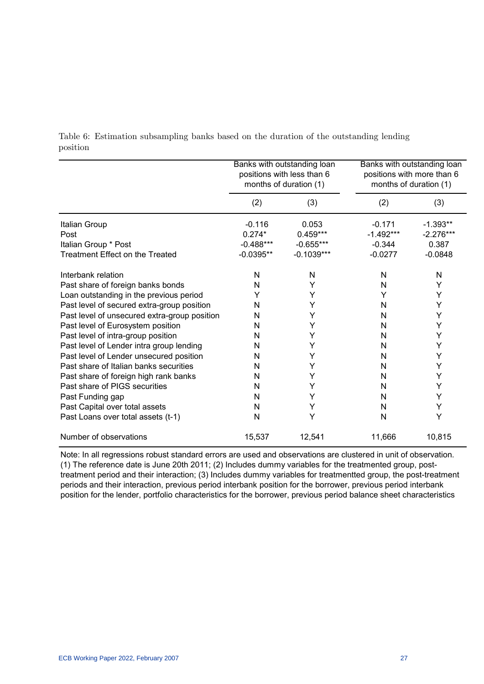|                                              |             | Banks with outstanding loan<br>positions with less than 6<br>months of duration (1) |             | Banks with outstanding loan<br>positions with more than 6<br>months of duration (1) |
|----------------------------------------------|-------------|-------------------------------------------------------------------------------------|-------------|-------------------------------------------------------------------------------------|
|                                              | (2)         | (3)                                                                                 | (2)         | (3)                                                                                 |
| Italian Group                                | $-0.116$    | 0.053                                                                               | $-0.171$    | $-1.393**$                                                                          |
| Post                                         | $0.274*$    | $0.459***$                                                                          | $-1.492***$ | $-2.276***$                                                                         |
| Italian Group * Post                         | $-0.488***$ | $-0.655***$                                                                         | $-0.344$    | 0.387                                                                               |
| <b>Treatment Effect on the Treated</b>       | $-0.0395**$ | $-0.1039***$                                                                        | $-0.0277$   | $-0.0848$                                                                           |
| Interbank relation                           | N           | N                                                                                   | N           | N                                                                                   |
| Past share of foreign banks bonds            | N           | Υ                                                                                   | N           | Y                                                                                   |
| Loan outstanding in the previous period      | Y           | Y                                                                                   | Y           | Υ                                                                                   |
| Past level of secured extra-group position   | N           | Υ                                                                                   | N           | Υ                                                                                   |
| Past level of unsecured extra-group position | N           | Y                                                                                   | N           | Υ                                                                                   |
| Past level of Eurosystem position            | N           | Υ                                                                                   | N           | Υ                                                                                   |
| Past level of intra-group position           | N           | Υ                                                                                   | N           | Υ                                                                                   |
| Past level of Lender intra group lending     | N           | Υ                                                                                   | N           | Υ                                                                                   |
| Past level of Lender unsecured position      | N           | Y                                                                                   | N           | Υ                                                                                   |
| Past share of Italian banks securities       | N           | Υ                                                                                   | N           | Υ                                                                                   |
| Past share of foreign high rank banks        | N           | Υ                                                                                   | N           | Υ                                                                                   |
| Past share of PIGS securities                | N           | Y                                                                                   | N           | Υ                                                                                   |
| Past Funding gap                             | N           | Y                                                                                   | N           | Y                                                                                   |
| Past Capital over total assets               | N           | Υ                                                                                   | N           | Υ                                                                                   |
| Past Loans over total assets (t-1)           | N           | Y                                                                                   | N           | Υ                                                                                   |
| Number of observations                       | 15,537      | 12,541                                                                              | 11,666      | 10,815                                                                              |

Table 6: Estimation subsampling banks based on the duration of the outstanding lending position

Note: In all regressions robust standard errors are used and observations are clustered in unit of observation. (1) The reference date is June 20th 2011; (2) Includes dummy variables for the treatmented group, posttreatment period and their interaction; (3) Includes dummy variables for treatmentted group, the post-treatment periods and their interaction, previous period interbank position for the borrower, previous period interbank position for the lender, portfolio characteristics for the borrower, previous period balance sheet characteristics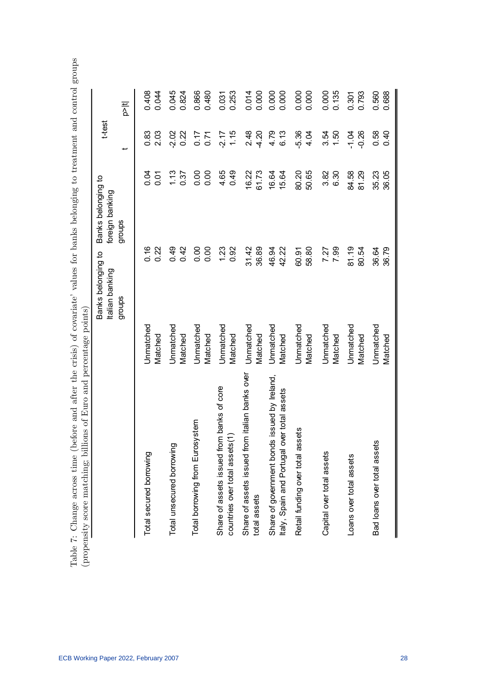|                                                                                             |                      | Banks belonging to<br>Italian banking | Banks belonging to<br>foreign banking |                | t-test             |                |
|---------------------------------------------------------------------------------------------|----------------------|---------------------------------------|---------------------------------------|----------------|--------------------|----------------|
|                                                                                             |                      | groups                                | groups                                |                |                    | $\frac{11}{2}$ |
| Total secured borrowing                                                                     | Unmatched<br>Matched | 0.16<br>0.22                          |                                       | 0.04<br>0.01   | 0.83<br>2.03       | 0.408<br>0.044 |
| Total unsecured borrowing                                                                   | Unmatched<br>Matched | 0.49<br>0.42                          |                                       | 1.13<br>0.37   | 0.22<br>$-2.02$    | 0.045<br>0.824 |
| Total borrowing from Eurosystem                                                             | Unmatched<br>Matched | 0.00<br>0.00                          |                                       | 0.00<br>0.00   | $0.77$<br>0.71     | 0.866<br>0.480 |
| Share of assets issued from banks of core<br>countries over total assets(1)                 | Unmatched<br>Matched | 1.23<br>0.92                          |                                       | 0.49<br>4.65   | 1.15<br>$-2.17$    | 0.253<br>0.031 |
| Share of assets issued from italian banks over<br>total assets                              | Unmatched<br>Matched | 31.42<br>36.89                        |                                       | 61.73<br>16.22 | 4.20<br>2.48       | 0.000<br>0.014 |
| Share of government bonds issued by Ireland,<br>Italy, Spain and Portugal over total assets | Unmatched<br>Matched | 42.22<br>46.94                        |                                       | 16.64<br>15.64 | 4.79<br>6.13       | 0.000<br>0.000 |
| Retail funding over total assets                                                            | Unmatched<br>Matched | 58.80<br>60.91                        |                                       | 80.20<br>50.65 | $-5.36$<br>4.04    | 0.000<br>0.000 |
| Capital over total assets                                                                   | Unmatched<br>Matched | 7.99<br>7.27                          |                                       | 3.82<br>6.30   | 1.50<br>3.54       | 0.135<br>0.000 |
| Loans over total assets                                                                     | Unmatched<br>Matched | 81.19<br>80.54                        |                                       | 84.58<br>81.29 | $-1.04$<br>$-0.26$ | 0.793<br>0.301 |
| Bad loans over total assets                                                                 | Unmatched<br>Matched | 36.64<br>36.79                        |                                       | 36.05<br>35.23 | 0.58<br>0.40       | 0.688<br>0.560 |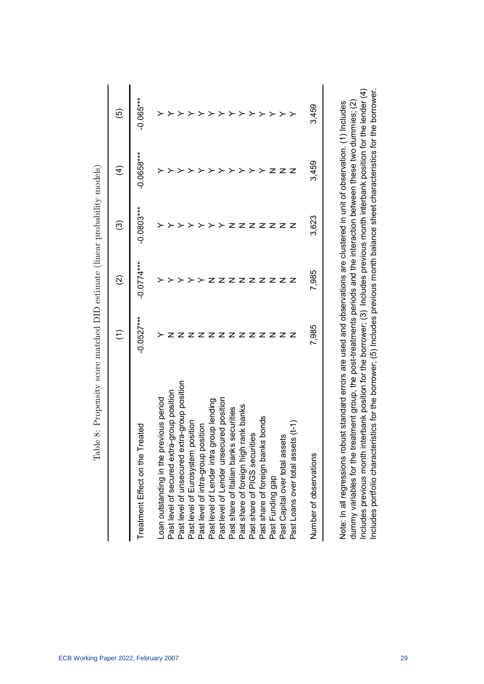|                                              | Ξ            | ତ୍ର          | ဴ            | $\widehat{\mathcal{A}}$ | ම           |
|----------------------------------------------|--------------|--------------|--------------|-------------------------|-------------|
| Treatment Effect on the Treated              | $-0.0527***$ | $-0.0774***$ | $-0.0803***$ | $-0.0658***$            | $-0.065***$ |
| Loan outstanding in the previous period      |              |              |              |                         |             |
| Past level of secured extra-group position   |              |              |              |                         |             |
| Past level of unsecured extra-group position |              |              |              |                         |             |
| position<br>Past level of Eurosystem         |              |              |              |                         |             |
| Past level of intra-group position           |              |              |              |                         |             |
| Past level of Lender intra group lending     |              |              |              |                         |             |
| Past level of Lender unsecured position      |              |              |              |                         |             |
| Past share of Italian banks securities       |              |              |              |                         |             |
| rank banks<br>Past share of foreign high     |              |              |              |                         |             |
| Past share of PIGS securities                |              |              |              |                         |             |
| Past share of foreign banks bonds            |              |              |              |                         |             |
| Past Funding gap                             |              |              |              |                         |             |
| Past Capital over total assets               |              | z            |              |                         |             |
| Past Loans over total assets (t-1            |              |              | z            |                         |             |
| Number of observations                       | 7,985        | 7,985        | 3,623        | 3,459                   | 3,459       |

Table 8: Propensity score matched DID estimate (linear probability models) Table 8: Propensity score matched DID estimate (linear probability models)

dummy variables for the treatment group, the post-treatments periods and the interaction between these two dummies; (2)<br>Includes previous month interbank position for the borrower; (3) Includes previous month interbank pos Includes previous month interbank position for the borrower; (3) Includes previous month interbank position for the lender (4) Includes portfolio characteristics for the borrower; (5) Includes previous month balance sheet characteristics for the borrower. Note: In all regressions robust standard errors are used and observations are clustered in unit of observation. (1) Includes dummy variables for the treatment group, the post-treatments periods and the interaction between these two dummies; (2) Note: In all regressions robust standard errors are used and observations are clustered in unit of observation. (1) Includes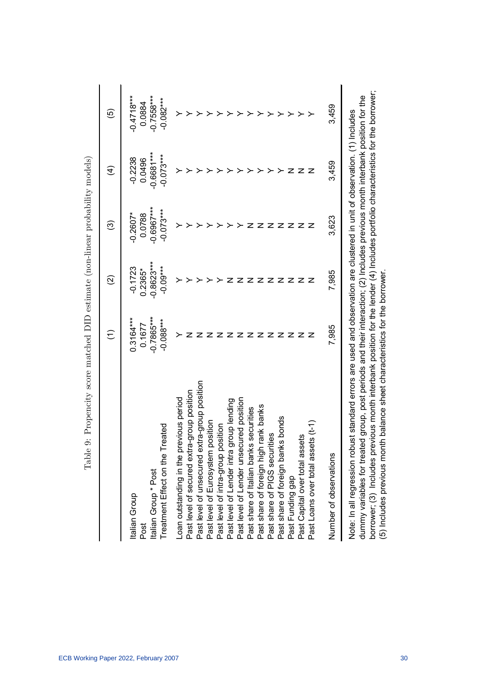|                                                                                                                                                                                                                                                             | $\widehat{\cdot}$      | $\widehat{\infty}$        | ල                      | $\widehat{\mathcal{A}}$ | ම                      |
|-------------------------------------------------------------------------------------------------------------------------------------------------------------------------------------------------------------------------------------------------------------|------------------------|---------------------------|------------------------|-------------------------|------------------------|
| Italian Group                                                                                                                                                                                                                                               | $0.3164***$            | $-0.1723$                 | $-0.2607*$             | $-0.2238$               | $-0.4718***$           |
| Italian Group * Post<br>Post                                                                                                                                                                                                                                | $-0.7865***$<br>0.1677 | $-0.8623***$<br>$0.2365*$ | $-0.6967***$<br>0.0788 | $-0.6681***$<br>0.0496  | $-0.7558***$<br>0.0884 |
| Treatment Effect on the Treated                                                                                                                                                                                                                             | $-0.088***$            | $-0.09***$                | $-0.073***$            | $-0.073***$             | $-0.082***$            |
| Loan outstanding in the previous period                                                                                                                                                                                                                     |                        |                           |                        |                         |                        |
| Past level of secured extra-group position                                                                                                                                                                                                                  |                        |                           |                        |                         |                        |
| Past level of unsecured extra-group position                                                                                                                                                                                                                |                        |                           |                        |                         |                        |
| Past level of Eurosystem position                                                                                                                                                                                                                           |                        |                           |                        |                         |                        |
| Past level of intra-group position<br>Past level of Lender intra group l                                                                                                                                                                                    |                        |                           |                        |                         |                        |
| group lending                                                                                                                                                                                                                                               |                        |                           |                        |                         |                        |
| Past level of Lender unsecured position                                                                                                                                                                                                                     |                        |                           |                        |                         |                        |
| Past share of Italian banks securities                                                                                                                                                                                                                      |                        |                           |                        |                         |                        |
| Past share of foreign high rank banks                                                                                                                                                                                                                       |                        |                           |                        |                         |                        |
| Past share of PIGS securities                                                                                                                                                                                                                               |                        |                           |                        |                         |                        |
| s bonds<br>Past share of foreign bank                                                                                                                                                                                                                       |                        |                           |                        |                         |                        |
| Past Funding gap                                                                                                                                                                                                                                            |                        |                           |                        | z                       |                        |
| Past Capital over total assets                                                                                                                                                                                                                              |                        | z                         | z                      | z                       |                        |
| Past Loans over total assets (t-1)                                                                                                                                                                                                                          |                        |                           |                        | z                       |                        |
| Number of observations                                                                                                                                                                                                                                      | 7,985                  | 7,985                     | 3,623                  | 3,459                   | 3,459                  |
| dummy variables for treated group, post periods and their interaction; (2) Includes previous month interbank position for the<br>Note: In all regression robust standard errors are used and observation are clustered in unit of observation. (1) Includes |                        |                           |                        |                         |                        |

probability models) Table 9: Propencity score matched DID estimate (non-linear probability models) J.  $^{atchod}$  DID  $_{actimata}$  (non-lin  $\frac{1}{2}$  $T<sub>ab</sub>$ le  $0$ : Pro

borrower; (3) Includes previous month interbank position for the lender (4) Includes portfolio characteristics for the borrower;<br>(5) Includes previous month balance sheet characteristics for the borrower. borrower; (3) Includes previous month interbank position for the lender (4) Includes portfolio characteristics for the borrower; (5) Includes previous month balance sheet characteristics for the borrower. ᅙ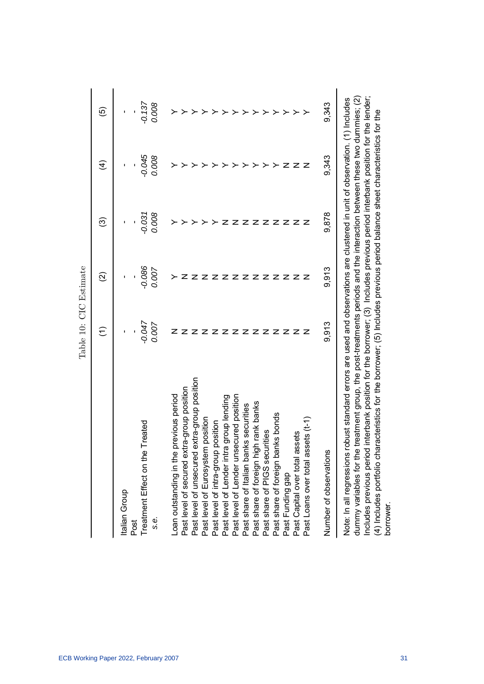|                                                                                                                                                                                                                                                                                                                                                                                                                                                                                                                                                                                             | $\widehat{\cdot}$                            | $\widehat{\infty}$             | ල                         | E                      | ම                         |
|---------------------------------------------------------------------------------------------------------------------------------------------------------------------------------------------------------------------------------------------------------------------------------------------------------------------------------------------------------------------------------------------------------------------------------------------------------------------------------------------------------------------------------------------------------------------------------------------|----------------------------------------------|--------------------------------|---------------------------|------------------------|---------------------------|
| Treatment Effect on the Treated<br>Italian Group<br>s.e.<br>Post                                                                                                                                                                                                                                                                                                                                                                                                                                                                                                                            | $-0.047$<br>0.007                            | $-0.086$<br>0.007<br>ı         | 0.008<br>$-0.031$         | $-0.045$<br>0.008<br>ı | $-0.137$<br>0.008         |
| Past level of unsecured extra-group position<br>Past level of secured extra-group position<br>Loan outstanding in the previous period<br>Past level of Lender unsecured position<br>Past level of intra-group position<br>Past level of Lender intra group lending<br>Past share of foreign high rank banks<br>Past share of PIGS securities<br>Past share of Italian banks securities<br>Past share of foreign banks bonds<br>Past level of Eurosystem position<br>$ssets(t-1)$<br>Past Capital over total assets<br>Number of observations<br>Past Loans over total a<br>Past Funding gap | 9,913<br>ΖZ<br>$\mathbf{z}$<br>z<br>z<br>z z | 9,913<br>ZZ<br>z z<br>z z<br>z | 9,878<br>z<br>z<br>z<br>z | 9,343<br>ZZZ           | 9,343<br>≻<br>≻<br>≻<br>≻ |
| Includes previous period interbank position for the borrower; (3) Includes previous period interbank position for the lender;<br>dummy variables for the treatment group, the post-treatments periods and the interaction between these two dummies; (2)<br>Note: In all regressions robust standard errors are used and observations are clustered in unit of observation. (1) Includes<br>(4) Includes portfolio characteristics for the borrower; (5) Includes previous period balance sheet characteristics for the<br>borrower.                                                        |                                              |                                |                           |                        |                           |

Table 10: CIC Estimate Table 10: CIC Estimate